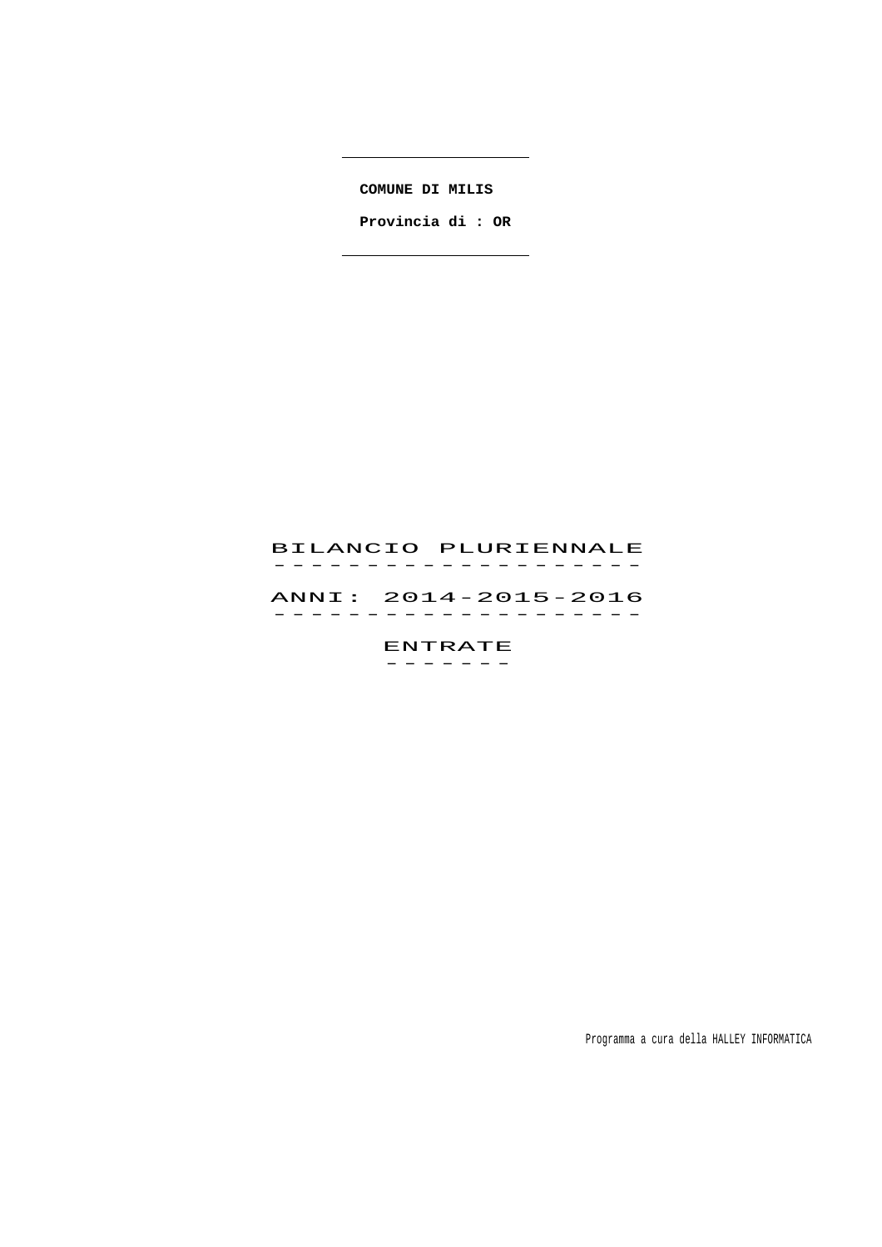**COMUNE DI MILIS** 

 **Provincia di : OR**

# BILANCIO PLURIENNALE -------------------<br>BILANCIO PLURIENNALE

 ANNI: 2014-2015-2016 ANNI: 2014–2015–2016<br>------------------

> ENTRATE -------

> > Programma a cura della HALLEY INFORMATICA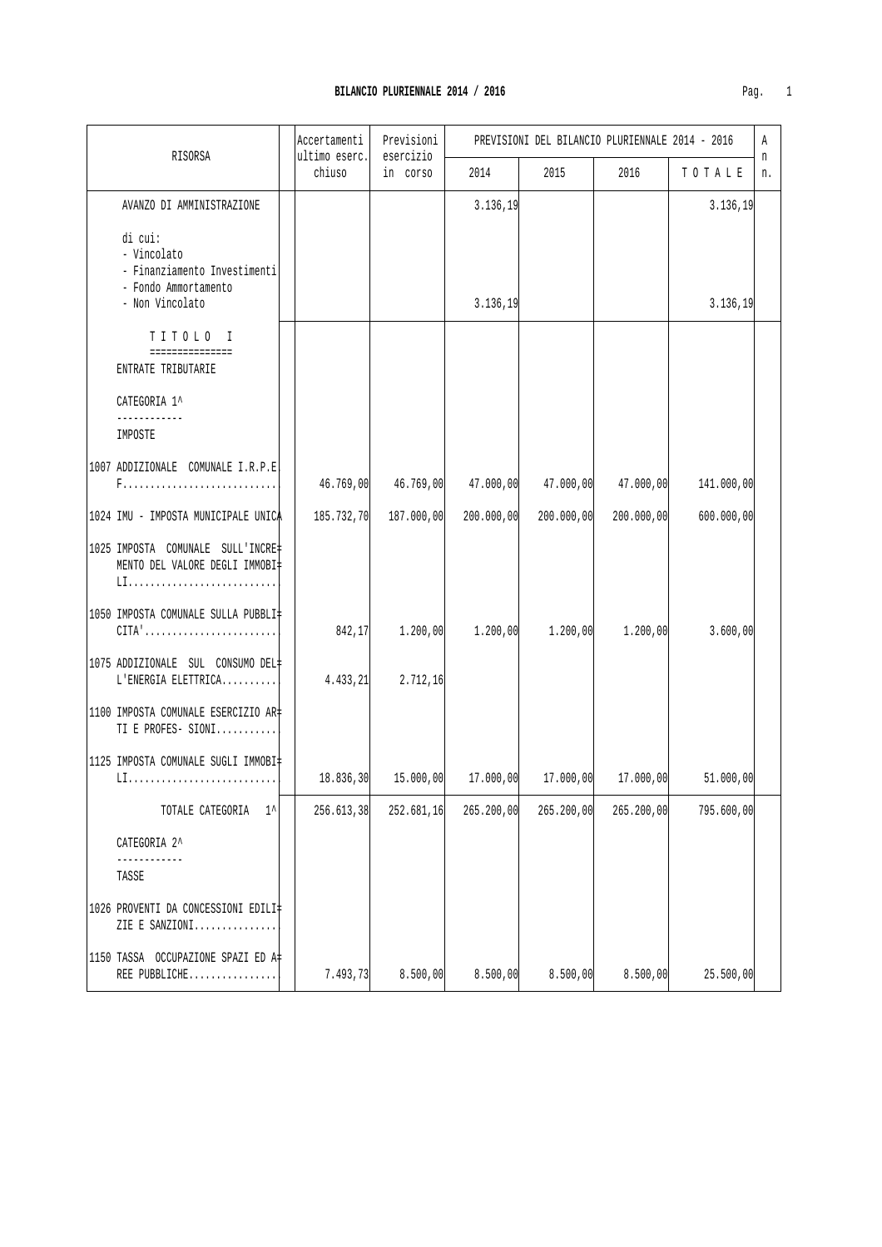| RISORSA                                                                                                | Accertamenti<br>ultimo eserc. | Previsioni<br>esercizio | PREVISIONI DEL BILANCIO PLURIENNALE 2014 - 2016 |            |                         |            | Α<br>n |
|--------------------------------------------------------------------------------------------------------|-------------------------------|-------------------------|-------------------------------------------------|------------|-------------------------|------------|--------|
|                                                                                                        | chiuso                        | in corso                | 2014                                            | 2015       | 2016                    | TOTALE     | n.     |
| AVANZO DI AMMINISTRAZIONE                                                                              |                               |                         | 3.136,19                                        |            |                         | 3.136, 19  |        |
| di cui:<br>- Vincolato<br>- Finanziamento Investimenti<br>- Fondo Ammortamento<br>- Non Vincolato      |                               |                         | 3.136,19                                        |            |                         | 3.136, 19  |        |
| TITOLO I<br>===============<br>ENTRATE TRIBUTARIE                                                      |                               |                         |                                                 |            |                         |            |        |
| CATEGORIA 1^                                                                                           |                               |                         |                                                 |            |                         |            |        |
| IMPOSTE                                                                                                |                               |                         |                                                 |            |                         |            |        |
| 1007 ADDIZIONALE COMUNALE I.R.P.E                                                                      | 46.769,00                     | 46.769,00               | 47.000,00                                       | 47.000,00  | 47.000,00               | 141.000,00 |        |
| 1024 IMU - IMPOSTA MUNICIPALE UNICA                                                                    | 185.732,70                    | 187.000,00              | 200.000,00                                      | 200.000,00 | 200.000,00              | 600.000,00 |        |
| 1025 IMPOSTA COMUNALE SULL'INCRE‡<br>MENTO DEL VALORE DEGLI IMMOBI‡                                    |                               |                         |                                                 |            |                         |            |        |
| 1050 IMPOSTA COMUNALE SULLA PUBBLI‡<br>$CITA' \ldots \ldots \ldots \ldots \ldots \ldots \ldots \ldots$ | 842,17                        | 1.200,00                | 1.200,00                                        | 1.200,00   | 1.200,00                | 3.600,00   |        |
| 1075 ADDIZIONALE SUL CONSUMO DEL <br>$L$ 'ENERGIA ELETTRICA                                            | 4.433, 21                     | 2.712, 16               |                                                 |            |                         |            |        |
| 1100 IMPOSTA COMUNALE ESERCIZIO AR#<br>TI E PROFES- SIONI                                              |                               |                         |                                                 |            |                         |            |        |
| 11125 IMPOSTA COMUNALE SUGLI IMMOBI‡                                                                   | 18.836,30                     |                         | $15.000,00$ $17.000,00$                         |            | $17.000,00$ $17.000,00$ | 51.000,00  |        |
| TOTALE CATEGORIA<br>$1^{\wedge}$                                                                       | 256.613,38                    | 252.681,16              | 265.200,00                                      | 265.200,00 | 265.200,00              | 795.600,00 |        |
| CATEGORIA 2^<br>------------                                                                           |                               |                         |                                                 |            |                         |            |        |
| TASSE                                                                                                  |                               |                         |                                                 |            |                         |            |        |
| 1026 PROVENTI DA CONCESSIONI EDILI‡<br>ZIE E SANZIONI                                                  |                               |                         |                                                 |            |                         |            |        |
| 1150 TASSA OCCUPAZIONE SPAZI ED A#<br>REE PUBBLICHE                                                    | 7.493,73                      | 8.500,00                | 8.500,00                                        | 8.500,00   | 8.500,00                | 25.500,00  |        |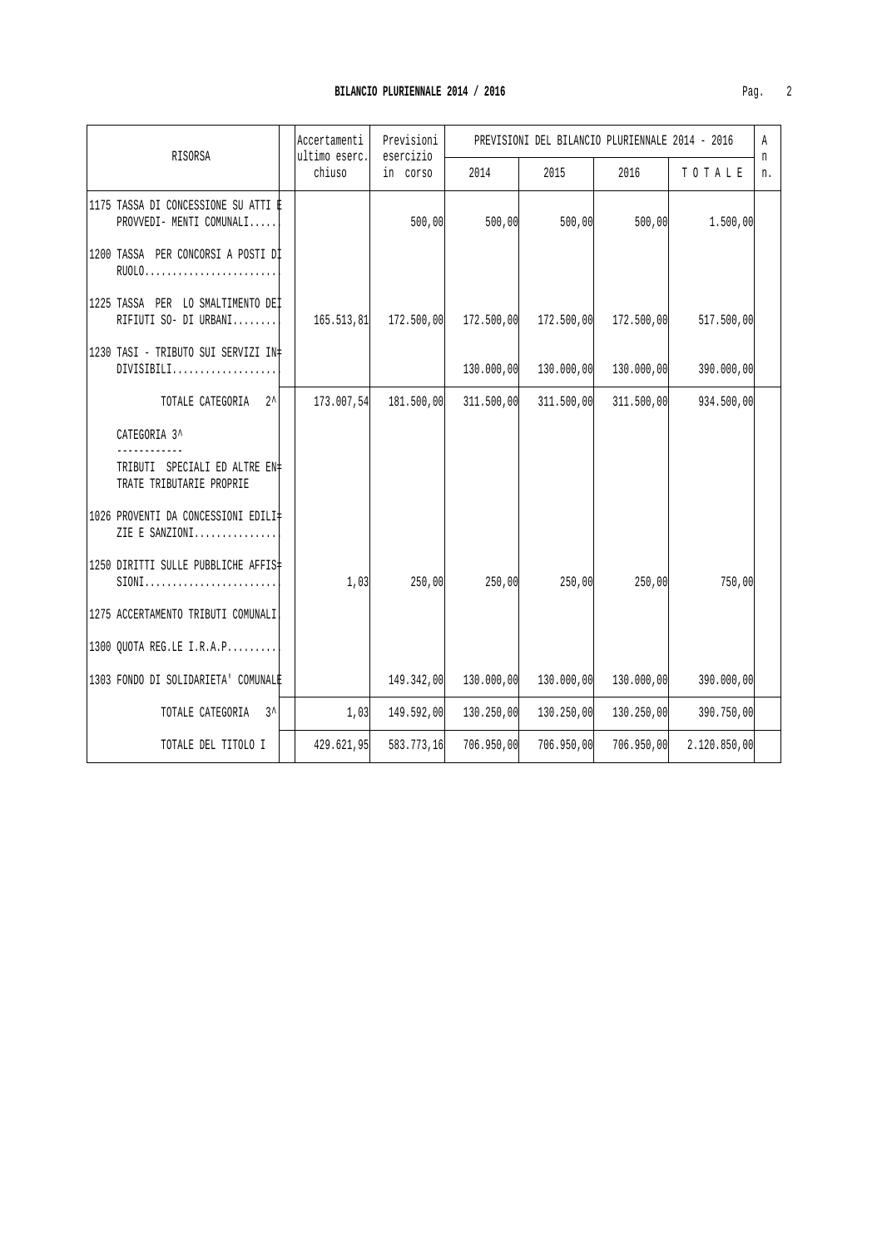| RISORSA                                                                   |  | Accertamenti<br>ultimo eserc. | Previsioni<br>esercizio |            | PREVISIONI DEL BILANCIO PLURIENNALE 2014 - 2016 |            |            | Α<br>n |
|---------------------------------------------------------------------------|--|-------------------------------|-------------------------|------------|-------------------------------------------------|------------|------------|--------|
|                                                                           |  | chiuso                        | in corso                | 2014       | 2015                                            | 2016       | TO TALE    | n.     |
| 1175 TASSA DI CONCESSIONE SU ATTI È<br>PROVVEDI- MENTI COMUNALI           |  |                               | 500,00                  | 500,00     | 500,00                                          | 500,00     | 1.500,00   |        |
| 1200 TASSA PER CONCORSI A POSTI DI<br>RU0L0                               |  |                               |                         |            |                                                 |            |            |        |
| 11225 TASSA PER LO SMALTIMENTO DEI<br>RIFIUTI SO- DI URBANI               |  | 165.513.81                    | 172.500,00              | 172.500,00 | 172.500,00                                      | 172.500,00 | 517.500,00 |        |
| 11230 TASI - TRIBUTO SUI SERVIZI IN‡<br>DIVISIBILI                        |  |                               |                         | 130.000,00 | 130.000,00                                      | 130.000,00 | 390.000,00 |        |
| TOTALE CATEGORIA 2^                                                       |  | 173.007,54                    | 181.500,00              | 311.500,00 | 311.500,00                                      | 311.500,00 | 934.500,00 |        |
| CATEGORIA 3^<br>TRIBUTI SPECIALI ED ALTRE EN#<br>TRATE TRIBUTARIE PROPRIE |  |                               |                         |            |                                                 |            |            |        |
| 11026 PROVENTI DA CONCESSIONI EDILI‡<br>ZIE E SANZIONI                    |  |                               |                         |            |                                                 |            |            |        |
| 11250 DIRITTI SULLE PUBBLICHE AFFIS‡<br>$SIONI$                           |  | 1,03                          | 250,00                  | 250,00     | 250,00                                          | 250,00     | 750,00     |        |
| 1275 ACCERTAMENTO TRIBUTI COMUNALI                                        |  |                               |                         |            |                                                 |            |            |        |
| $ 1300 \t{QU}$ OTA REG.LE I.R.A.P                                         |  |                               |                         |            |                                                 |            |            |        |
| 1303 FONDO DI SOLIDARIETA' COMUNALE                                       |  |                               | 149.342,00              | 130.000,00 | 130.000,00                                      | 130.000,00 | 390.000,00 |        |
| $3^{\lambda}$<br>TOTALE CATEGORIA                                         |  | 1,03                          | 149.592,00              | 130.250,00 | 130.250,00                                      | 130.250,00 | 390.750,00 |        |

TOTALE DEL TITOLO I 429.621,95 583.773,16 706.950,00 706.950,00 706.950,00 2.120.850,00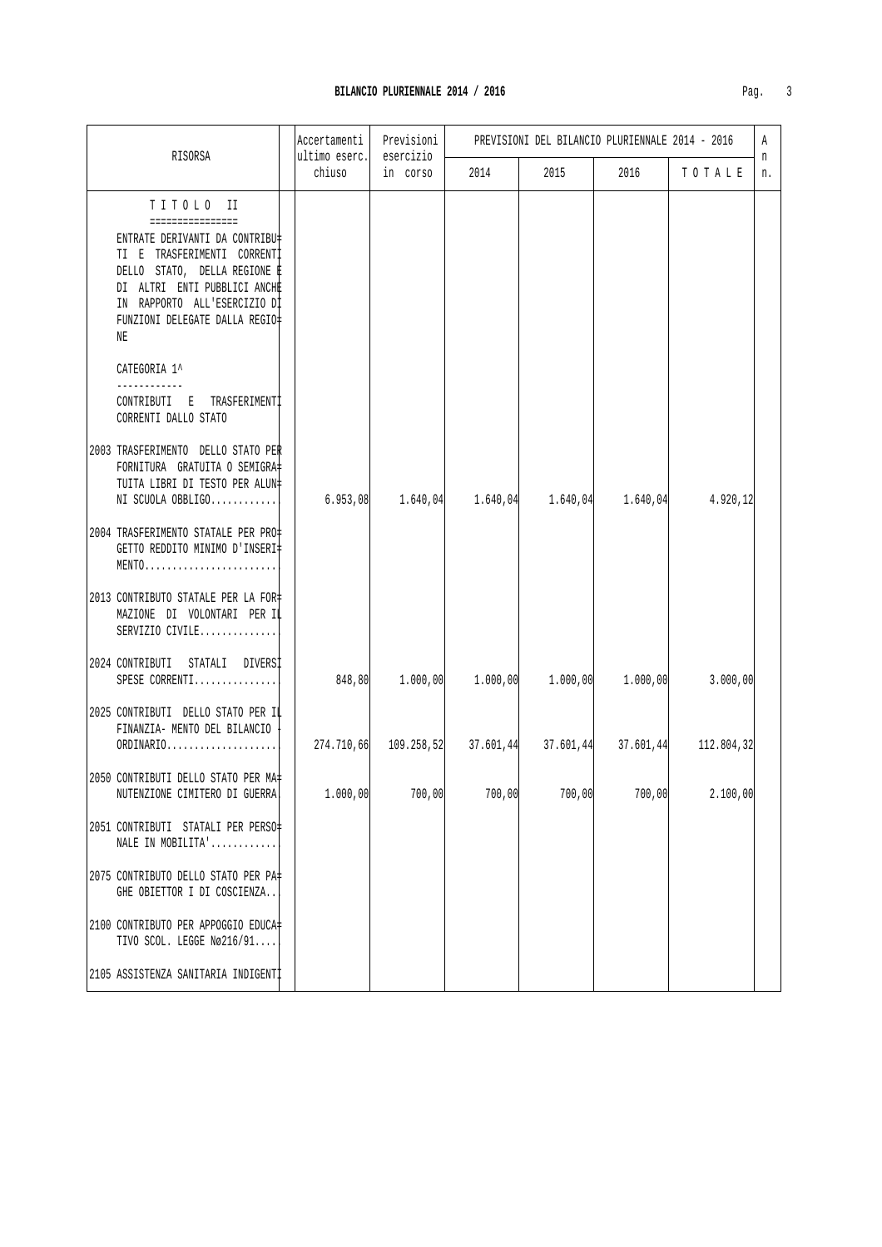| RISORSA                                                                                                                                                                                                                                                | Accertamenti<br>ultimo eserc. | Previsioni<br>esercizio | PREVISIONI DEL BILANCIO PLURIENNALE 2014 - 2016                 |        |           |            |         |
|--------------------------------------------------------------------------------------------------------------------------------------------------------------------------------------------------------------------------------------------------------|-------------------------------|-------------------------|-----------------------------------------------------------------|--------|-----------|------------|---------|
|                                                                                                                                                                                                                                                        | chiuso                        | in corso                | 2014                                                            | 2015   | 2016      | TOTALE     | n<br>n. |
| TITOLO II<br>================<br>ENTRATE DERIVANTI DA CONTRIBU‡<br>TI E TRASFERIMENTI CORRENTI<br>DELLO STATO, DELLA REGIONE È<br>DI ALTRI ENTI PUBBLICI ANCHE<br>IN RAPPORTO ALL'ESERCIZIO DI<br>FUNZIONI DELEGATE DALLA REGIO‡<br>ΝE<br>CATEGORIA 1^ |                               |                         |                                                                 |        |           |            |         |
| CONTRIBUTI E TRASFERIMENTI<br>CORRENTI DALLO STATO<br>2003 TRASFERIMENTO DELLO STATO PER<br>FORNITURA GRATUITA O SEMIGRA=<br>TUITA LIBRI DI TESTO PER ALUN‡<br>NI SCUOLA OBBLIGO                                                                       | 6.953,08                      |                         | $1.640,04$ $1.640,04$ $1.640,04$ $1.640,04$                     |        |           | 4.920,12   |         |
| 2004 TRASFERIMENTO STATALE PER PRO+<br>GETTO REDDITO MINIMO D'INSERI‡<br>MENTO                                                                                                                                                                         |                               |                         |                                                                 |        |           |            |         |
| 2013 CONTRIBUTO STATALE PER LA FOR‡<br>MAZIONE DI VOLONTARI PER IL<br>SERVIZIO CIVILE                                                                                                                                                                  |                               |                         |                                                                 |        |           |            |         |
| 2024 CONTRIBUTI STATALI DIVERSI<br>SPESE CORRENTI                                                                                                                                                                                                      |                               |                         | $848,80$ $1.000,00$ $1.000,00$ $1.000,00$ $1.000,00$ $1.000,00$ |        |           | 3.000,00   |         |
| 2025 CONTRIBUTI DELLO STATO PER IL<br>FINANZIA- MENTO DEL BILANCIO<br>ORDINARIO                                                                                                                                                                        |                               |                         | $274.710,66$ $109.258,52$ $37.601,44$ $37.601,44$               |        | 37.601,44 | 112.804,32 |         |
| 2050 CONTRIBUTI DELLO STATO PER MA‡<br>NUTENZIONE CIMITERO DI GUERRA!                                                                                                                                                                                  | 1.000,00                      | 700,00                  | 700,00                                                          | 700,00 | 700,00    | 2.100,00   |         |
| 2051 CONTRIBUTI STATALI PER PERSO<br>NALE IN MOBILITA'                                                                                                                                                                                                 |                               |                         |                                                                 |        |           |            |         |
| 2075 CONTRIBUTO DELLO STATO PER PA‡<br>GHE OBIETTOR I DI COSCIENZA                                                                                                                                                                                     |                               |                         |                                                                 |        |           |            |         |
| 2100 CONTRIBUTO PER APPOGGIO EDUCA-<br>TIVO SCOL. LEGGE Nø216/91                                                                                                                                                                                       |                               |                         |                                                                 |        |           |            |         |
| 2105 ASSISTENZA SANITARIA INDIGENTI                                                                                                                                                                                                                    |                               |                         |                                                                 |        |           |            |         |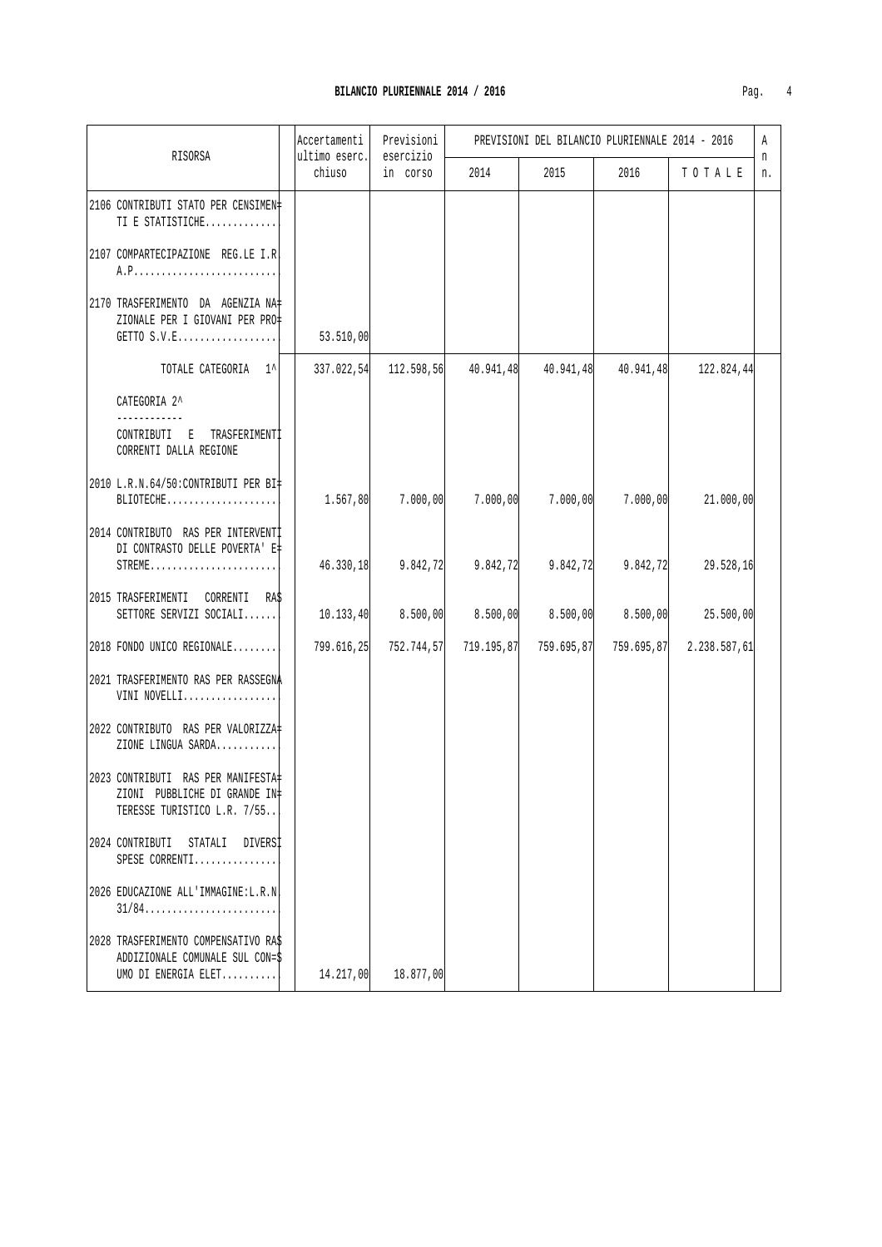| г |  |
|---|--|
|   |  |

|                                                                                                   | Accertamenti            | Previsioni            | PREVISIONI DEL BILANCIO PLURIENNALE 2014 - 2016 |            |           |                         |         |
|---------------------------------------------------------------------------------------------------|-------------------------|-----------------------|-------------------------------------------------|------------|-----------|-------------------------|---------|
| RISORSA                                                                                           | ultimo eserc.<br>chiuso | esercizio<br>in corso | 2014                                            | 2015       | 2016      | TOTALE                  | n<br>n. |
| 2106 CONTRIBUTI STATO PER CENSIMEN#<br>TI E STATISTICHE                                           |                         |                       |                                                 |            |           |                         |         |
| 2107 COMPARTECIPAZIONE REG.LE I.R                                                                 |                         |                       |                                                 |            |           |                         |         |
| 2170 TRASFERIMENTO DA AGENZIA NA=<br>ZIONALE PER I GIOVANI PER PRO‡<br>GETTO S.V.E                | 53.510,00               |                       |                                                 |            |           |                         |         |
| TOTALE CATEGORIA 1^                                                                               | 337.022,54              | 112.598,56            | 40.941,48                                       | 40.941,48  | 40.941,48 | 122.824,44              |         |
| CATEGORIA 2^                                                                                      |                         |                       |                                                 |            |           |                         |         |
| CONTRIBUTI E<br>TRASFERIMENTI<br>CORRENTI DALLA REGIONE                                           |                         |                       |                                                 |            |           |                         |         |
| 2010 L.R.N.64/50:CONTRIBUTI PER BI=<br>BLIOTECHE                                                  | 1.567,80                | 7.000,00              | 7.000,00                                        | 7.000,00   | 7.000,00  | 21.000,00               |         |
| 2014 CONTRIBUTO RAS PER INTERVENTI<br>DI CONTRASTO DELLE POVERTA' E#<br>STREME                    | 46.330,18               | 9.842, 72             | 9.842,72                                        | 9.842,72   | 9.842,72  | 29.528,16               |         |
| 2015 TRASFERIMENTI CORRENTI RAS<br>SETTORE SERVIZI SOCIALI                                        | 10.133, 40              | 8.500,00              | 8.500,00                                        | 8.500,00   | 8.500,00  | 25.500,00               |         |
| 2018 FONDO UNICO REGIONALE                                                                        | 799.616,25              |                       | 752.744,57 719.195,87                           | 759.695,87 |           | 759.695,87 2.238.587,61 |         |
| 2021 TRASFERIMENTO RAS PER RASSEGNA<br>VINI NOVELLI                                               |                         |                       |                                                 |            |           |                         |         |
| 2022 CONTRIBUTO RAS PER VALORIZZA<br>ZIONE LINGUA SARDA                                           |                         |                       |                                                 |            |           |                         |         |
| 2023 CONTRIBUTI RAS PER MANIFESTA<br>ZIONI PUBBLICHE DI GRANDE IN‡<br>TERESSE TURISTICO L.R. 7/55 |                         |                       |                                                 |            |           |                         |         |
| 2024 CONTRIBUTI STATALI DIVERSI<br>SPESE CORRENTI                                                 |                         |                       |                                                 |            |           |                         |         |
| 2026 EDUCAZIONE ALL'IMMAGINE:L.R.N<br>$31/84$                                                     |                         |                       |                                                 |            |           |                         |         |
| 2028 TRASFERIMENTO COMPENSATIVO RAS<br>ADDIZIONALE COMUNALE SUL CON=\$<br>UMO DI ENERGIA ELET     | 14.217,00               | 18.877,00             |                                                 |            |           |                         |         |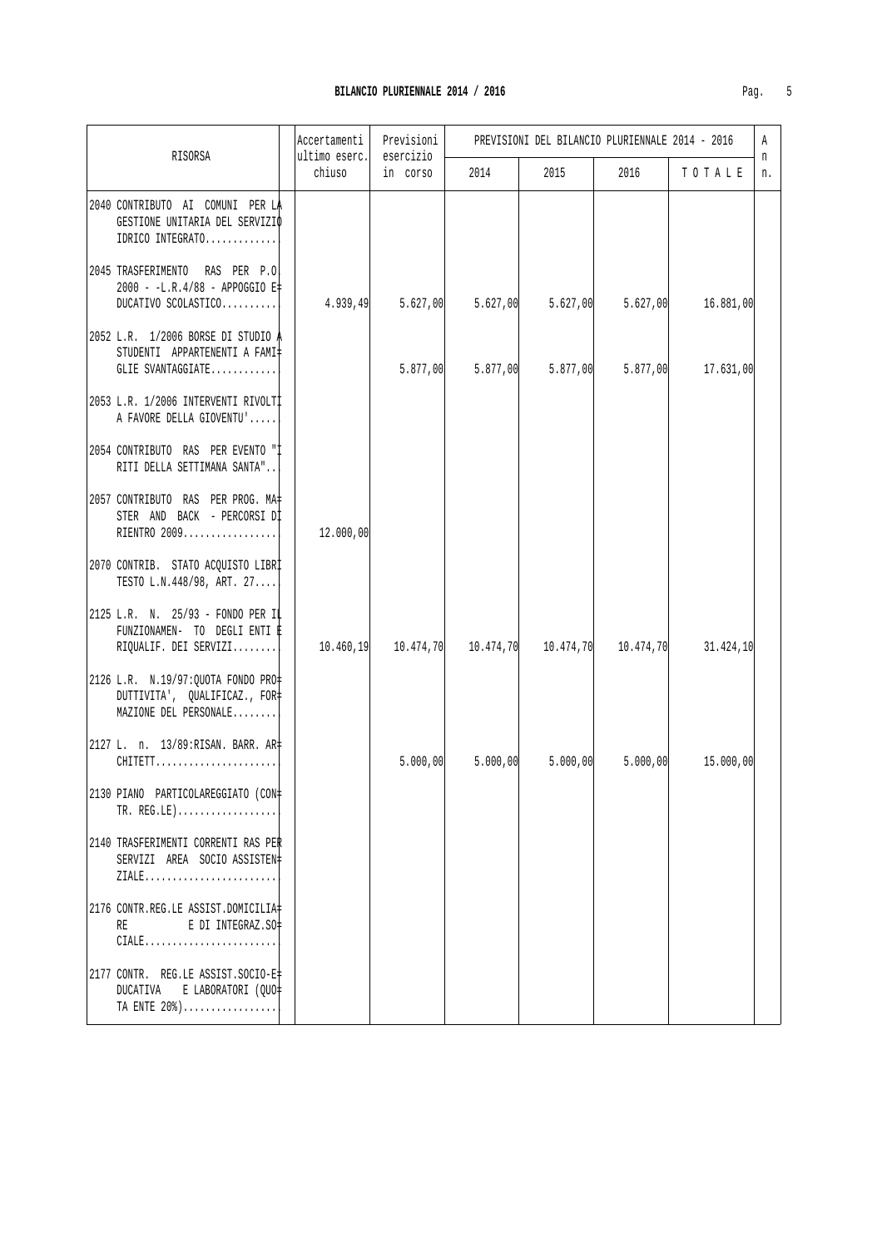| RISORSA                                                                                       | Accertamenti<br>ultimo eserc. | Previsioni | PREVISIONI DEL BILANCIO PLURIENNALE 2014 - 2016<br>esercizio |          |           |           | A       |
|-----------------------------------------------------------------------------------------------|-------------------------------|------------|--------------------------------------------------------------|----------|-----------|-----------|---------|
|                                                                                               | chiuso                        | in corso   | 2014                                                         | 2015     | 2016      | TOTALE    | n<br>n. |
| 2040 CONTRIBUTO AI COMUNI PER LA<br>GESTIONE UNITARIA DEL SERVIZIO<br>IDRICO INTEGRATO        |                               |            |                                                              |          |           |           |         |
| 2045 TRASFERIMENTO RAS PER P.O<br>2000 - -L.R.4/88 - APPOGGIO E‡<br>DUCATIVO SCOLASTICO       | 4.939,49                      | 5.627,00   | 5.627,00                                                     | 5.627,00 | 5.627,00  | 16.881,00 |         |
| 2052 L.R. 1/2006 BORSE DI STUDIO A<br>STUDENTI APPARTENENTI A FAMI‡<br>GLIE SVANTAGGIATE      |                               | 5.877,00   | 5.877,00                                                     | 5.877,00 | 5.877,00  | 17.631,00 |         |
| 2053 L.R. 1/2006 INTERVENTI RIVOLTI<br>A FAVORE DELLA GIOVENTU'                               |                               |            |                                                              |          |           |           |         |
| 2054 CONTRIBUTO RAS PER EVENTO "I<br>RITI DELLA SETTIMANA SANTA"                              |                               |            |                                                              |          |           |           |         |
| 2057 CONTRIBUTO RAS PER PROG. MA#<br>STER AND BACK - PERCORSI DI<br>RIENTRO 2009              | 12.000,00                     |            |                                                              |          |           |           |         |
| 2070 CONTRIB. STATO ACQUISTO LIBRI<br>TESTO L.N. 448/98, ART. 27                              |                               |            |                                                              |          |           |           |         |
| 2125 L.R. N. 25/93 - FONDO PER IL<br>FUNZIONAMEN- TO DEGLI ENTI E<br>RIQUALIF. DEI SERVIZI    | 10.460,19                     |            | $10.474, 70$ $10.474, 70$ $10.474, 70$                       |          | 10.474,70 | 31.424,10 |         |
| 2126 L.R. N.19/97: QUOTA FONDO PRO=<br>DUTTIVITA', QUALIFICAZ., FOR‡<br>MAZIONE DEL PERSONALE |                               |            |                                                              |          |           |           |         |
| 2127 L. n. 13/89:RISAN. BARR. AR+<br>CHITETT                                                  |                               | 5.000,00   | 5.000,00                                                     | 5.000,00 | 5.000,00  | 15.000,00 |         |
| 2130 PIANO PARTICOLAREGGIATO (CON#<br>$TR. REG. LE$ )                                         |                               |            |                                                              |          |           |           |         |
| 2140 TRASFERIMENTI CORRENTI RAS PER<br>SERVIZI AREA SOCIO ASSISTEN#<br>ZIALE                  |                               |            |                                                              |          |           |           |         |
| 2176 CONTR.REG.LE ASSIST.DOMICILIA#<br>E DI INTEGRAZ.SO=<br>RE<br>$\texttt{CIALE}$            |                               |            |                                                              |          |           |           |         |
| 2177 CONTR. REG.LE ASSIST.SOCIO-E <br>E LABORATORI (QUO=<br>DUCATIVA<br>TA ENTE 20%)          |                               |            |                                                              |          |           |           |         |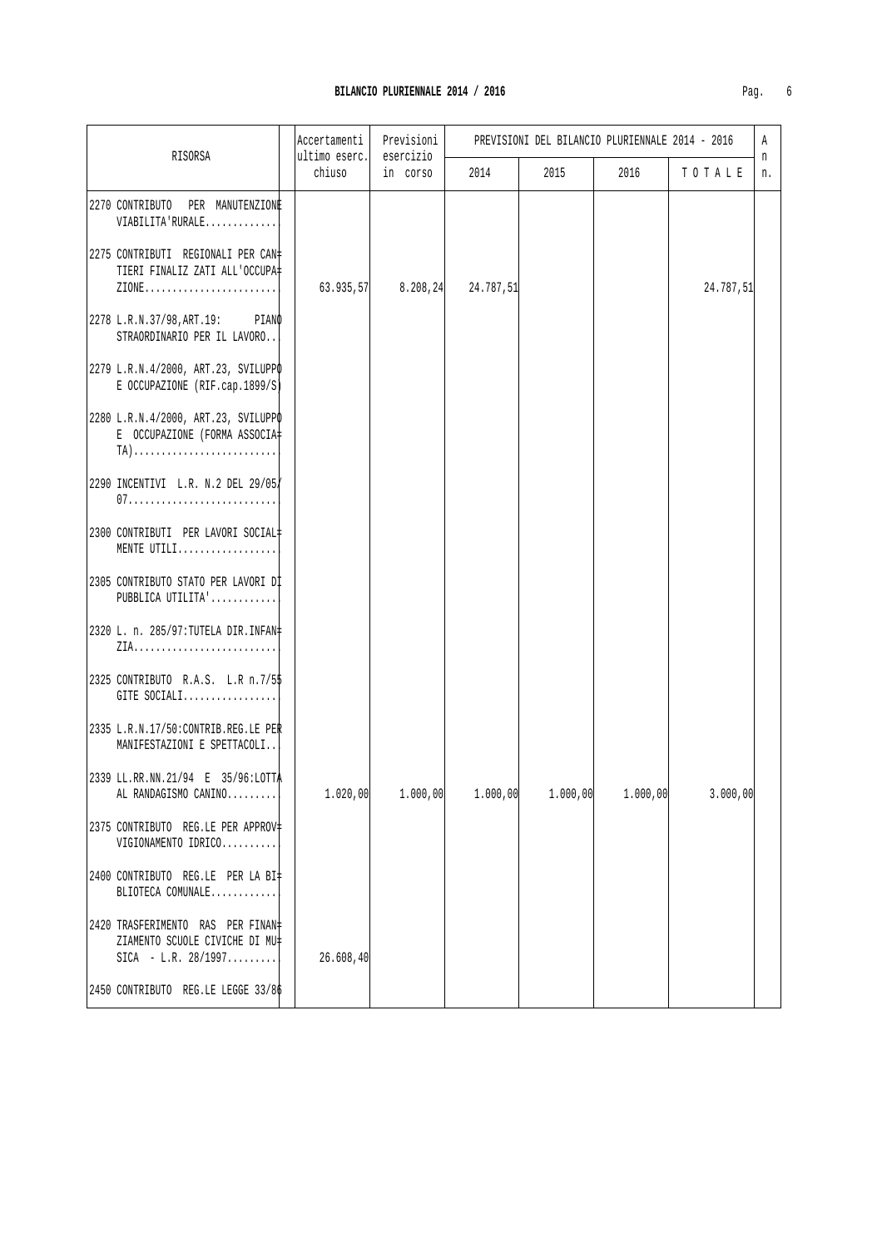| Pag. | h |
|------|---|
|      |   |

|                                                                                                                                                | Accertamenti<br>ultimo eserc. | Previsioni<br>esercizio | PREVISIONI DEL BILANCIO PLURIENNALE 2014 - 2016 |          |          |           |         |
|------------------------------------------------------------------------------------------------------------------------------------------------|-------------------------------|-------------------------|-------------------------------------------------|----------|----------|-----------|---------|
| RISORSA                                                                                                                                        | chiuso                        | in corso                | 2014                                            | 2015     | 2016     | TOTALE    | n<br>n. |
| 2270 CONTRIBUTO PER MANUTENZIONE<br>VIABILITA'RURALE                                                                                           |                               |                         |                                                 |          |          |           |         |
| 2275 CONTRIBUTI REGIONALI PER CAN‡<br>TIERI FINALIZ ZATI ALL'OCCUPA#<br>$\texttt{ZIONE} \dots \dots \dots \dots \dots \dots \dots \dots \dots$ | 63.935,57                     | 8.208, 24               | 24.787,51                                       |          |          | 24.787,51 |         |
| 2278 L.R.N.37/98, ART.19: PIANO<br>STRAORDINARIO PER IL LAVORO                                                                                 |                               |                         |                                                 |          |          |           |         |
| 2279 L.R.N.4/2000, ART.23, SVILUPPO<br>E OCCUPAZIONE (RIF.cap.1899/S)                                                                          |                               |                         |                                                 |          |          |           |         |
| 2280 L.R.N.4/2000, ART.23, SVILUPPO<br>E OCCUPAZIONE (FORMA ASSOCIA‡<br>$TA)$                                                                  |                               |                         |                                                 |          |          |           |         |
| 2290 INCENTIVI L.R. N.2 DEL 29/05                                                                                                              |                               |                         |                                                 |          |          |           |         |
| 2300 CONTRIBUTI PER LAVORI SOCIAL#<br>MENTE UTILI                                                                                              |                               |                         |                                                 |          |          |           |         |
| 2305 CONTRIBUTO STATO PER LAVORI DI<br>PUBBLICA UTILITA'                                                                                       |                               |                         |                                                 |          |          |           |         |
| 2320 L. n. 285/97: TUTELA DIR. INFAN+                                                                                                          |                               |                         |                                                 |          |          |           |         |
| 2325 CONTRIBUTO R.A.S. L.R n.7/55<br>GITE SOCIALI                                                                                              |                               |                         |                                                 |          |          |           |         |
| 2335 L.R.N.17/50: CONTRIB.REG.LE PER<br>MANIFESTAZIONI E SPETTACOLI                                                                            |                               |                         |                                                 |          |          |           |         |
| 2339 LL.RR.NN.21/94 E 35/96:LOTTA<br>AL RANDAGISMO CANINO                                                                                      | 1.020,00                      | 1.000,00                | 1.000,00                                        | 1.000,00 | 1.000,00 | 3.000,00  |         |
| 2375 CONTRIBUTO REG.LE PER APPROV=<br>VIGIONAMENTO IDRICO                                                                                      |                               |                         |                                                 |          |          |           |         |
| 2400 CONTRIBUTO REG.LE PER LA BI\<br>BLIOTECA COMUNALE                                                                                         |                               |                         |                                                 |          |          |           |         |
| 2420 TRASFERIMENTO RAS PER FINAN=<br>ZIAMENTO SCUOLE CIVICHE DI MU‡<br>$SICA - L.R. 28/1997$                                                   | 26.608, 40                    |                         |                                                 |          |          |           |         |
| 2450 CONTRIBUTO REG.LE LEGGE 33/86                                                                                                             |                               |                         |                                                 |          |          |           |         |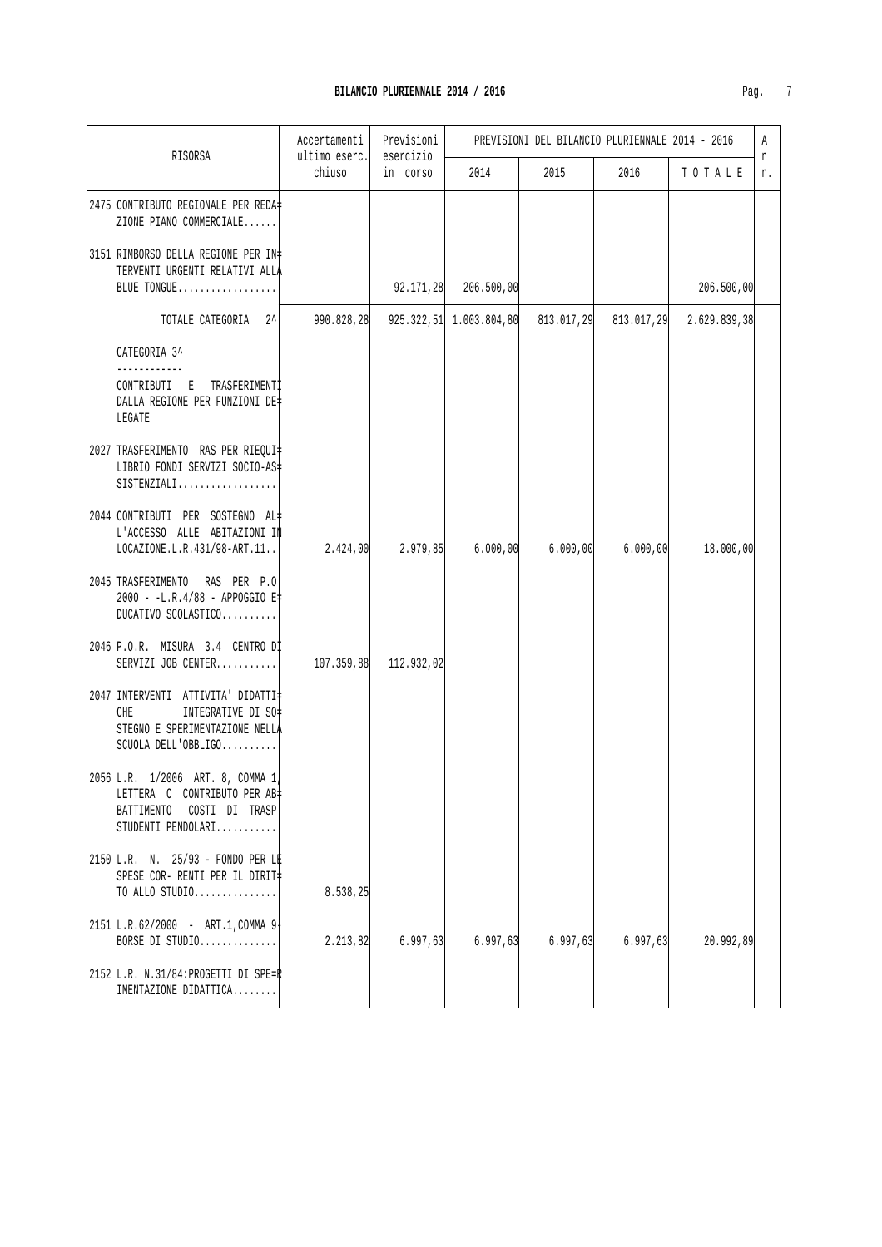|  |                                                                                                                         | Accertamenti<br>Previsioni<br>ultimo eserc.<br>esercizio |            | PREVISIONI DEL BILANCIO PLURIENNALE 2014 - 2016 |            |            |              | A       |
|--|-------------------------------------------------------------------------------------------------------------------------|----------------------------------------------------------|------------|-------------------------------------------------|------------|------------|--------------|---------|
|  | RISORSA                                                                                                                 | chiuso                                                   | in corso   | 2014                                            | 2015       | 2016       | TOTALE       | n<br>n. |
|  | 2475 CONTRIBUTO REGIONALE PER REDA‡<br>ZIONE PIANO COMMERCIALE                                                          |                                                          |            |                                                 |            |            |              |         |
|  | 3151 RIMBORSO DELLA REGIONE PER IN#<br>TERVENTI URGENTI RELATIVI ALLA<br>BLUE TONGUE                                    |                                                          | 92.171,28  | $206.500$ , $00$                                |            |            | 206.500,00   |         |
|  | TOTALE CATEGORIA 2^                                                                                                     | 990.828,28                                               |            | $925.322, 51$ 1.003.804,80                      | 813.017,29 | 813.017,29 | 2.629.839,38 |         |
|  | CATEGORIA 3^<br>CONTRIBUTI E TRASFERIMENTI<br>DALLA REGIONE PER FUNZIONI DE‡<br>LEGATE                                  |                                                          |            |                                                 |            |            |              |         |
|  | 2027 TRASFERIMENTO RAS PER RIEQUI‡<br>LIBRIO FONDI SERVIZI SOCIO-AS<br>SISTENZIALI                                      |                                                          |            |                                                 |            |            |              |         |
|  | 2044 CONTRIBUTI PER SOSTEGNO AL#<br>L'ACCESSO ALLE ABITAZIONI IN<br>$LOGZIONE.L.R.431/98-ART.11$                        | 2.424,00                                                 | 2.979,85   | 6.000,00                                        | 6.000,00   | 6.000,00   | 18.000,00    |         |
|  | 2045 TRASFERIMENTO RAS PER P.O.<br>2000 - -L.R.4/88 - APPOGGIO E‡<br>DUCATIVO SCOLASTICO                                |                                                          |            |                                                 |            |            |              |         |
|  | 2046 P.O.R. MISURA 3.4 CENTRO Dİ<br>SERVIZI JOB CENTER                                                                  | 107.359,88                                               | 112.932,02 |                                                 |            |            |              |         |
|  | 2047 INTERVENTI ATTIVITA' DIDATTI<br>INTEGRATIVE DI SO‡<br>CHE<br>STEGNO E SPERIMENTAZIONE NELLA<br>SCUOLA DELL'OBBLIGO |                                                          |            |                                                 |            |            |              |         |
|  | 2056 L.R. 1/2006 ART. 8, COMMA 1 <br>LETTERA C CONTRIBUTO PER AB<br>BATTIMENTO COSTI DI TRASP<br>STUDENTI PENDOLARI     |                                                          |            |                                                 |            |            |              |         |
|  | 2150 L.R. N. 25/93 - FONDO PER LE<br>SPESE COR- RENTI PER IL DIRIT‡<br>TO ALLO STUDIO                                   | 8.538,25                                                 |            |                                                 |            |            |              |         |
|  | 2151 L.R.62/2000 - ART.1, COMMA 9<br>BORSE DI STUDIO                                                                    | 2.213,82                                                 | 6.997, 63  | 6.997,63                                        | 6.997, 63  | 6.997,63   | 20.992,89    |         |
|  | 2152 L.R. N.31/84: PROGETTI DI SPE=R<br>IMENTAZIONE DIDATTICA                                                           |                                                          |            |                                                 |            |            |              |         |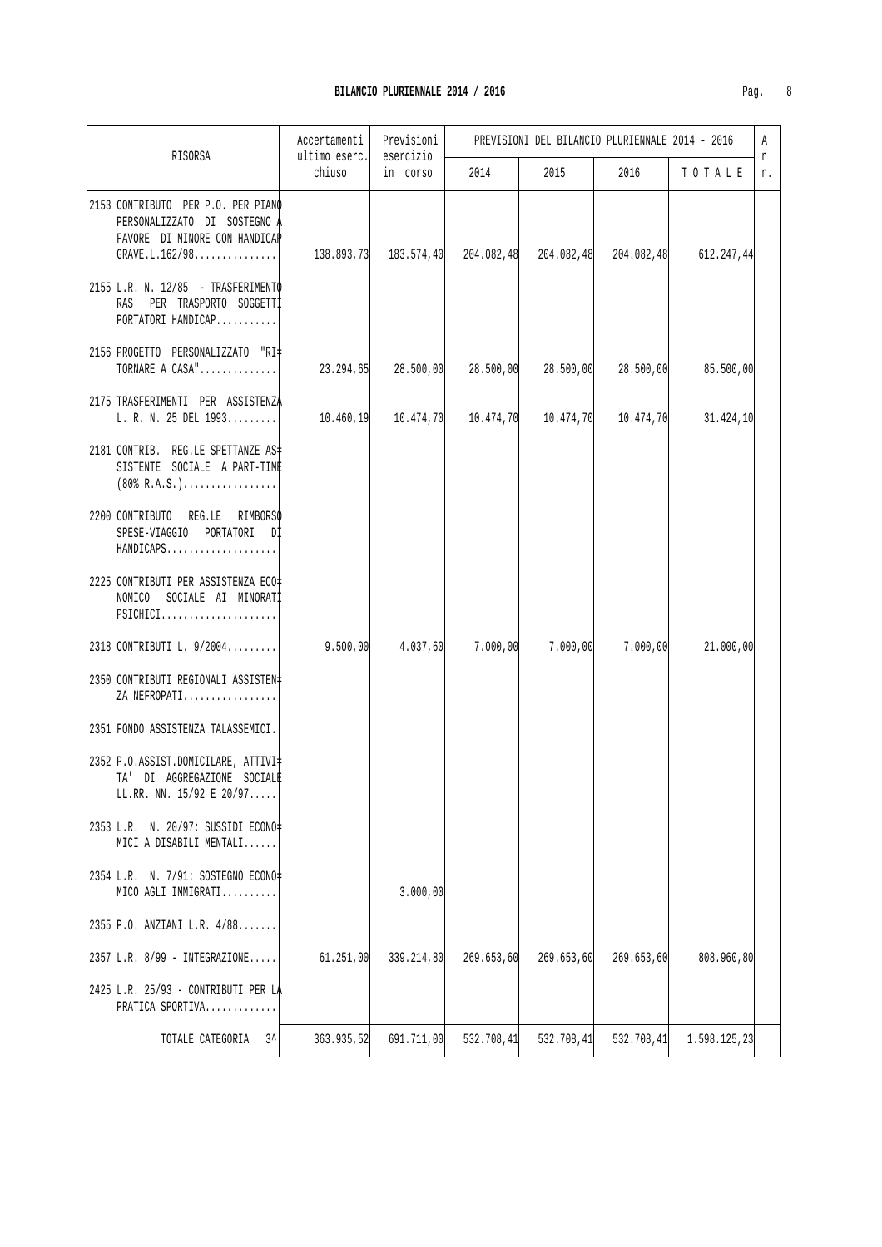| RISORSA                                                                                                                  | Accertamenti | Previsioni<br>ultimo eserc.<br>esercizio                         |            | PREVISIONI DEL BILANCIO PLURIENNALE 2014 - 2016 |            |              |         |
|--------------------------------------------------------------------------------------------------------------------------|--------------|------------------------------------------------------------------|------------|-------------------------------------------------|------------|--------------|---------|
|                                                                                                                          | chiuso       | in corso                                                         | 2014       | 2015                                            | 2016       | TOTALE       | n<br>n. |
| 2153 CONTRIBUTO PER P.O. PER PIANO<br>PERSONALIZZATO DI SOSTEGNO A<br>FAVORE DI MINORE CON HANDICAP<br>GRAVE.L.162/98    |              | $138.893,73$ $183.574,40$ $204.082,48$ $204.082,48$ $204.082,48$ |            |                                                 |            | 612.247,44   |         |
| 2155 L.R. N. 12/85 - TRASFERIMENTO<br>RAS PER TRASPORTO SOGGETTI<br>PORTATORI HANDICAP                                   |              |                                                                  |            |                                                 |            |              |         |
| 2156 PROGETTO PERSONALIZZATO "RI#<br>TORNARE A CASA"                                                                     |              | $23.294,65$ $28.500,00$ $28.500,00$ $28.500,00$                  |            |                                                 | 28.500,00  | 85.500,00    |         |
| 2175 TRASFERIMENTI PER ASSISTENZA<br>L. R. N. 25 DEL 1993                                                                |              | $10.460, 19$ $10.474, 70$ $10.474, 70$ $10.474, 70$ $10.474, 70$ |            |                                                 |            | 31.424,10    |         |
| 2181 CONTRIB. REG.LE SPETTANZE AS-<br>SISTENTE SOCIALE A PART-TIME<br>$(80\,$ R.A.S.)                                    |              |                                                                  |            |                                                 |            |              |         |
| 2200 CONTRIBUTO REG.LE RIMBORSO<br>SPESE-VIAGGIO PORTATORI DI<br>HANDICAPS                                               |              |                                                                  |            |                                                 |            |              |         |
| 2225 CONTRIBUTI PER ASSISTENZA ECO#<br>NOMICO SOCIALE AI MINORATI<br>$PSICHICI, \ldots, \ldots, \ldots, \ldots, \ldots,$ |              |                                                                  |            |                                                 |            |              |         |
| 2318 CONTRIBUTI L. 9/2004                                                                                                | 9.500,00     | 4.037,60                                                         | 7.000,00   | 7.000,00                                        | 7.000,00   | 21.000,00    |         |
| 2350 CONTRIBUTI REGIONALI ASSISTEN#<br>ZA NEFROPATI                                                                      |              |                                                                  |            |                                                 |            |              |         |
| 2351 FONDO ASSISTENZA TALASSEMICI.                                                                                       |              |                                                                  |            |                                                 |            |              |         |
| 2352 P.O.ASSIST.DOMICILARE, ATTIVI‡<br>TA' DI AGGREGAZIONE SOCIALE<br>LL.RR. NN. 15/92 E 20/97                           |              |                                                                  |            |                                                 |            |              |         |
| 2353 L.R. N. 20/97: SUSSIDI ECONO‡<br>MICI A DISABILI MENTALI                                                            |              |                                                                  |            |                                                 |            |              |         |
| 2354 L.R. N. 7/91: SOSTEGNO ECONO=<br>MICO AGLI IMMIGRATI                                                                |              | 3.000,00                                                         |            |                                                 |            |              |         |
| 2355 P.O. ANZIANI L.R. 4/88                                                                                              |              |                                                                  |            |                                                 |            |              |         |
| 2357 L.R. 8/99 - INTEGRAZIONE                                                                                            | 61.251,00    | 339.214,80                                                       | 269.653,60 | 269.653,60                                      | 269.653,60 | 808.960,80   |         |
| 2425 L.R. 25/93 - CONTRIBUTI PER LA<br>PRATICA SPORTIVA                                                                  |              |                                                                  |            |                                                 |            |              |         |
| $3^{\lambda}$<br>TOTALE CATEGORIA                                                                                        | 363.935,52   | 691.711,00                                                       | 532.708,41 | 532.708,41                                      | 532.708,41 | 1.598.125,23 |         |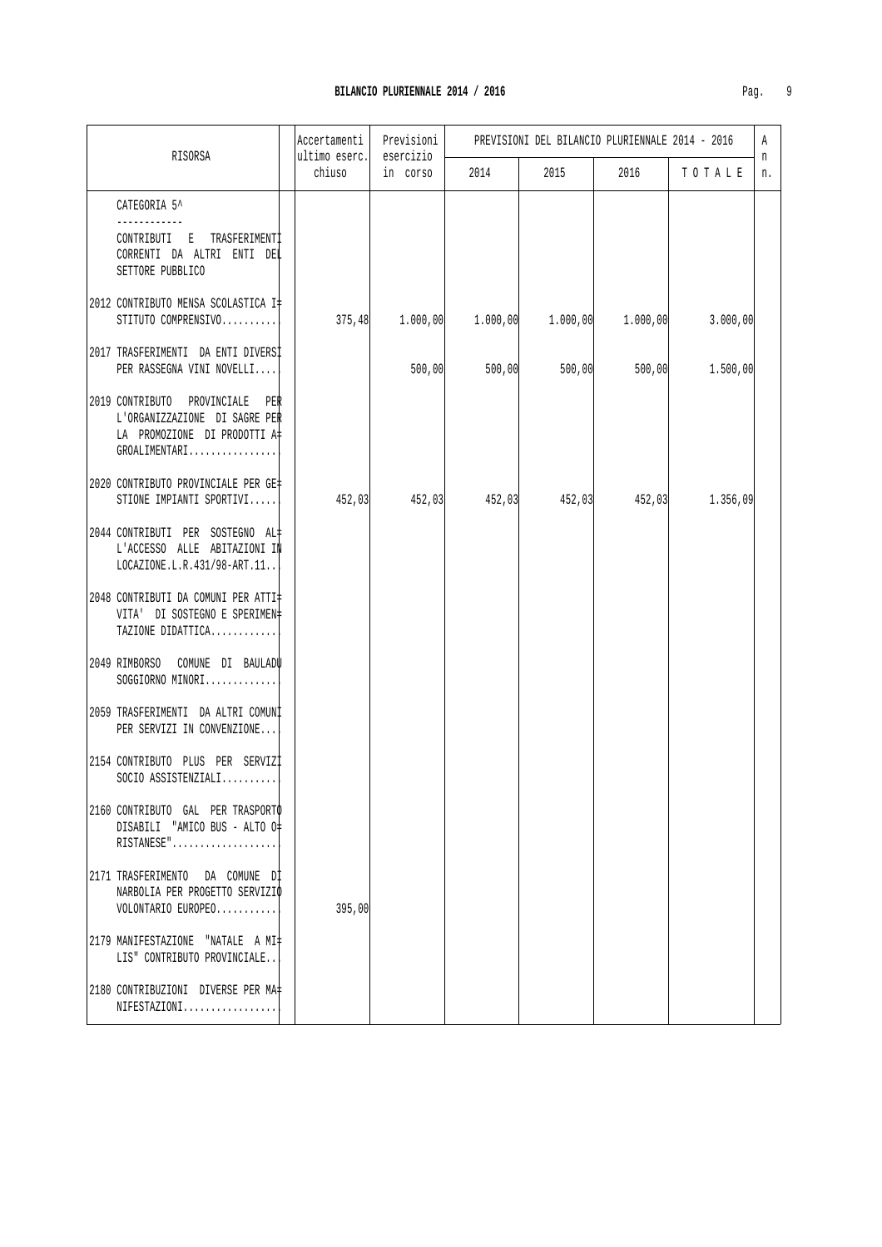|                                                                                                                   | Accertamenti            | Previsioni            |                                              |        | PREVISIONI DEL BILANCIO PLURIENNALE 2014 - 2016 |                                                                  | A       |
|-------------------------------------------------------------------------------------------------------------------|-------------------------|-----------------------|----------------------------------------------|--------|-------------------------------------------------|------------------------------------------------------------------|---------|
| RISORSA                                                                                                           | ultimo eserc.<br>chiuso | esercizio<br>in corso | 2014                                         | 2015   | 2016                                            | TOTALE                                                           | n<br>n. |
| CATEGORIA 5^<br>CONTRIBUTI E TRASFERIMENTI<br>CORRENTI DA ALTRI ENTI DEL<br>SETTORE PUBBLICO                      |                         |                       |                                              |        |                                                 |                                                                  |         |
| 2012 CONTRIBUTO MENSA SCOLASTICA I‡<br>STITUTO COMPRENSIVO                                                        |                         |                       | $375,48$ 1.000,00 1.000,00 1.000,00 1.000,00 |        |                                                 | 3.000,00                                                         |         |
| 2017 TRASFERIMENTI DA ENTI DIVERSI<br>PER RASSEGNA VINI NOVELLI                                                   |                         | 500,00                | 500,00                                       | 500,00 | 500,00                                          | 1.500,00                                                         |         |
| 2019 CONTRIBUTO PROVINCIALE PER<br>L'ORGANIZZAZIONE DI SAGRE PER<br>LA PROMOZIONE DI PRODOTTI A‡<br>GROALIMENTARI |                         |                       |                                              |        |                                                 |                                                                  |         |
| 2020 CONTRIBUTO PROVINCIALE PER GE‡<br>STIONE IMPIANTI SPORTIVI                                                   |                         |                       |                                              |        |                                                 | $452,03$ $452,03$ $452,03$ $452,03$ $452,03$ $452,03$ $1.356,09$ |         |
| 2044 CONTRIBUTI PER SOSTEGNO AL#<br>L'ACCESSO ALLE ABITAZIONI IN<br>LOCAZIONE.L.R.431/98-ART.11                   |                         |                       |                                              |        |                                                 |                                                                  |         |
| 2048 CONTRIBUTI DA COMUNI PER ATTI‡<br>VITA' DI SOSTEGNO E SPERIMEN‡<br>TAZIONE DIDATTICA                         |                         |                       |                                              |        |                                                 |                                                                  |         |
| 2049 RIMBORSO COMUNE DI BAULADU<br>SOGGIORNO MINORI                                                               |                         |                       |                                              |        |                                                 |                                                                  |         |
| 2059 TRASFERIMENTI DA ALTRI COMUNI<br>PER SERVIZI IN CONVENZIONE                                                  |                         |                       |                                              |        |                                                 |                                                                  |         |
| 2154 CONTRIBUTO PLUS PER SERVIZI<br>SOCIO ASSISTENZIALI                                                           |                         |                       |                                              |        |                                                 |                                                                  |         |
| 2160 CONTRIBUTO GAL PER TRASPORTO<br>DISABILI "AMICO BUS - ALTO O‡<br>RISTANESE"                                  |                         |                       |                                              |        |                                                 |                                                                  |         |
| 2171 TRASFERIMENTO DA COMUNE DI<br>NARBOLIA PER PROGETTO SERVIZIO<br>VOLONTARIO EUROPEO                           | 395,00                  |                       |                                              |        |                                                 |                                                                  |         |
| 2179 MANIFESTAZIONE "NATALE A MI+<br>LIS" CONTRIBUTO PROVINCIALE                                                  |                         |                       |                                              |        |                                                 |                                                                  |         |
| 2180 CONTRIBUZIONI DIVERSE PER MA+<br>NIFESTAZIONI                                                                |                         |                       |                                              |        |                                                 |                                                                  |         |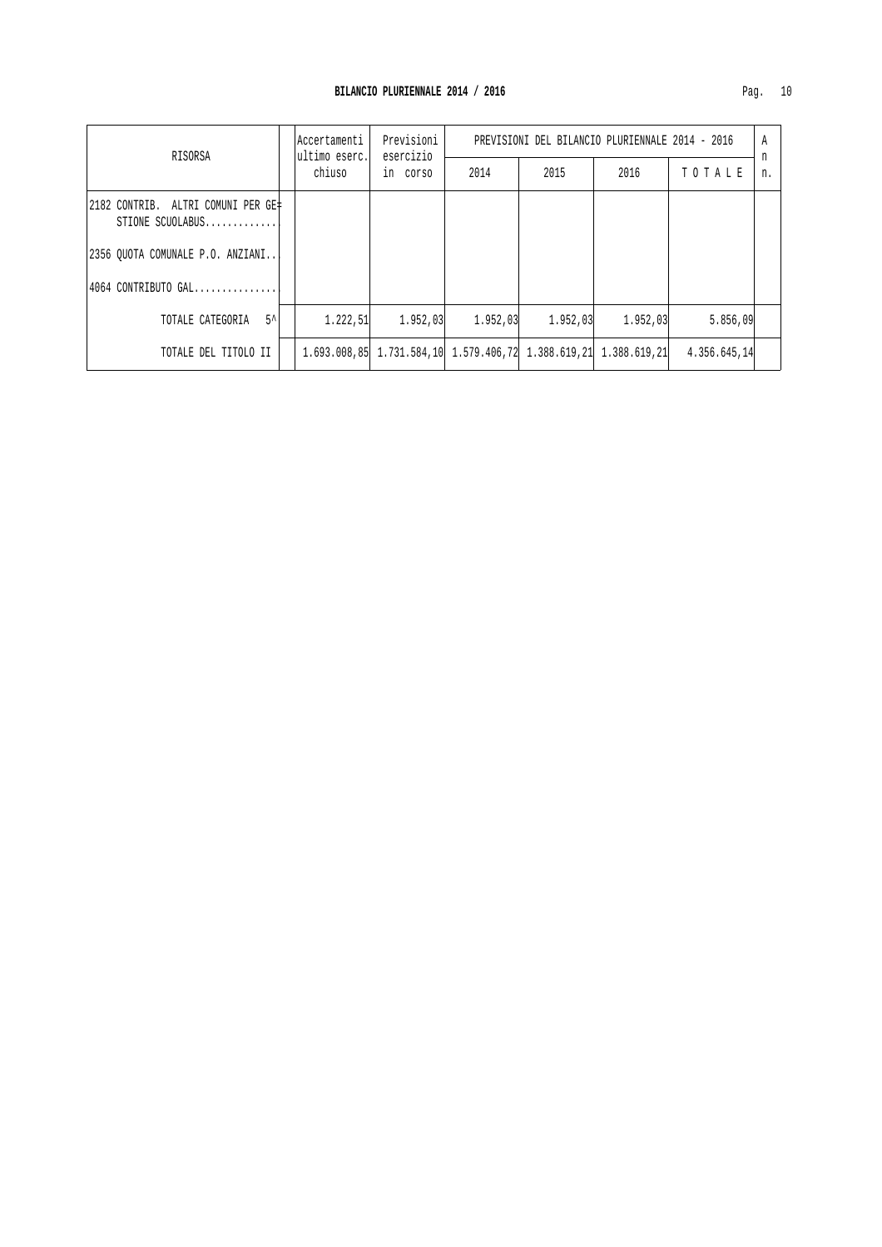| RISORSA                                                |  |           | lAccertamenti<br> ultimo eserc.                                  | Previsioni<br>esercizio | PREVISIONI DEL BILANCIO PLURIENNALE 2014 - 2016 |          |              |         |  |
|--------------------------------------------------------|--|-----------|------------------------------------------------------------------|-------------------------|-------------------------------------------------|----------|--------------|---------|--|
|                                                        |  | chiuso    | in corso                                                         | 2014                    | 2015                                            | 2016     | TOTALE       | n<br>n. |  |
| 2182 CONTRIB. ALTRI COMUNI PER GE‡<br>STIONE SCUOLABUS |  |           |                                                                  |                         |                                                 |          |              |         |  |
| 2356 OUOTA COMUNALE P.O. ANZIANI                       |  |           |                                                                  |                         |                                                 |          |              |         |  |
| $ 4064 $ CONTRIBUTO GAL                                |  |           |                                                                  |                         |                                                 |          |              |         |  |
| $5^{\prime}$<br>TOTALE CATEGORIA                       |  | 1.222, 51 | 1.952,03                                                         | 1,952,03                | 1,952,03                                        | 1.952,03 | 5.856,09     |         |  |
| TOTALE DEL TITOLO II                                   |  |           | 1.693.008.85 1.731.584.10 1.579.406.72 1.388.619.21 1.388.619.21 |                         |                                                 |          | 4.356.645,14 |         |  |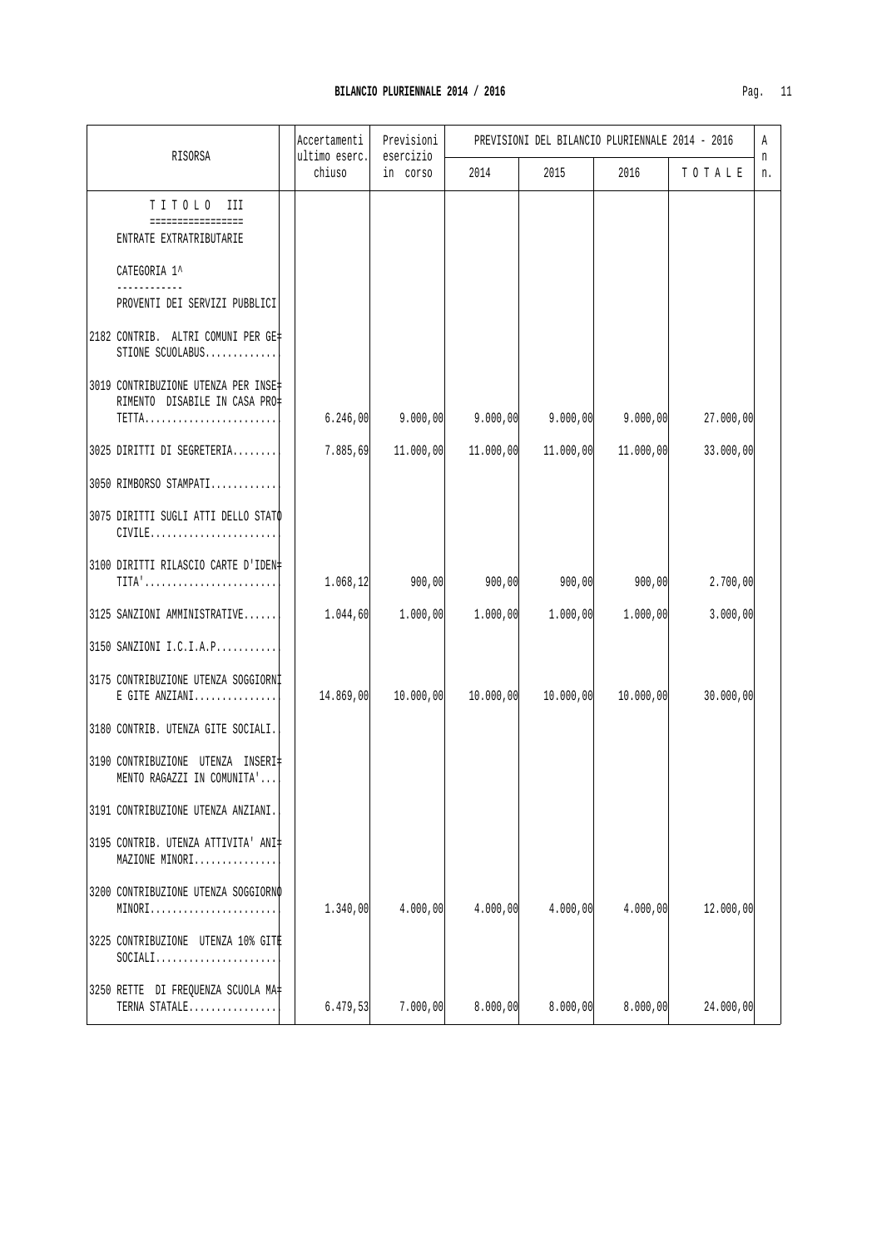|                                                                                                 | Accertamenti            | Previsioni            |           | PREVISIONI DEL BILANCIO PLURIENNALE 2014 - 2016 |           |           | Α       |
|-------------------------------------------------------------------------------------------------|-------------------------|-----------------------|-----------|-------------------------------------------------|-----------|-----------|---------|
| RISORSA                                                                                         | ultimo eserc.<br>chiuso | esercizio<br>in corso | 2014      | 2015                                            | 2016      | TOTALE    | n<br>n. |
| TITOLO III<br>=================<br>ENTRATE EXTRATRIBUTARIE                                      |                         |                       |           |                                                 |           |           |         |
| CATEGORIA 1^                                                                                    |                         |                       |           |                                                 |           |           |         |
| PROVENTI DEI SERVIZI PUBBLICI                                                                   |                         |                       |           |                                                 |           |           |         |
| 2182 CONTRIB. ALTRI COMUNI PER GE#<br>STIONE SCUOLABUS                                          |                         |                       |           |                                                 |           |           |         |
| 3019 CONTRIBUZIONE UTENZA PER INSE‡<br>RIMENTO DISABILE IN CASA PRO‡<br>TETTA                   | 6.246,00                | 9.000,00              | 9.000,00  | 9.000,00                                        | 9.000,00  | 27.000,00 |         |
| 3025 DIRITTI DI SEGRETERIA                                                                      | 7.885,69                | 11.000,00             | 11.000,00 | 11.000,00                                       | 11.000,00 | 33.000,00 |         |
| 3050 RIMBORSO STAMPATI                                                                          |                         |                       |           |                                                 |           |           |         |
| 3075 DIRITTI SUGLI ATTI DELLO STATO<br>$CIVILE$                                                 |                         |                       |           |                                                 |           |           |         |
| 3100 DIRITTI RILASCIO CARTE D'IDEN#<br>$TITA' \ldots \ldots \ldots \ldots \ldots \ldots \ldots$ | 1.068,12                | 900,00                | 900,00    | 900,00                                          | 900,00    | 2.700,00  |         |
| 3125 SANZIONI AMMINISTRATIVE                                                                    | 1.044, 60               | 1.000,00              | 1.000,00  | 1.000,00                                        | 1.000,00  | 3.000,00  |         |
| 3150 SANZIONI I.C.I.A.P                                                                         |                         |                       |           |                                                 |           |           |         |
| 3175 CONTRIBUZIONE UTENZA SOGGIORNI<br>E GITE ANZIANI                                           | 14.869,00               | 10.000,00             | 10.000,00 | 10.000,00                                       | 10.000,00 | 30.000,00 |         |
| 3180 CONTRIB. UTENZA GITE SOCIALI.                                                              |                         |                       |           |                                                 |           |           |         |
| 3190 CONTRIBUZIONE UTENZA INSERI‡<br>MENTO RAGAZZI IN COMUNITA'                                 |                         |                       |           |                                                 |           |           |         |
| 3191 CONTRIBUZIONE UTENZA ANZIANI.                                                              |                         |                       |           |                                                 |           |           |         |
| 3195 CONTRIB. UTENZA ATTIVITA' ANI‡<br>MAZIONE MINORI                                           |                         |                       |           |                                                 |           |           |         |
| 3200 CONTRIBUZIONE UTENZA SOGGIORNO<br>MINORI                                                   | 1.340,00                | 4.000,00              | 4.000,00  | 4.000,00                                        | 4.000,00  | 12.000,00 |         |
| 3225 CONTRIBUZIONE UTENZA 10% GITE<br>$SOCIALI. \ldots \ldots \ldots \ldots \ldots \ldots$      |                         |                       |           |                                                 |           |           |         |
| 3250 RETTE DI FREQUENZA SCUOLA MA+<br>TERNA STATALE                                             | 6.479,53                | 7.000,00              | 8.000,00  | 8.000,00                                        | 8.000,00  | 24.000,00 |         |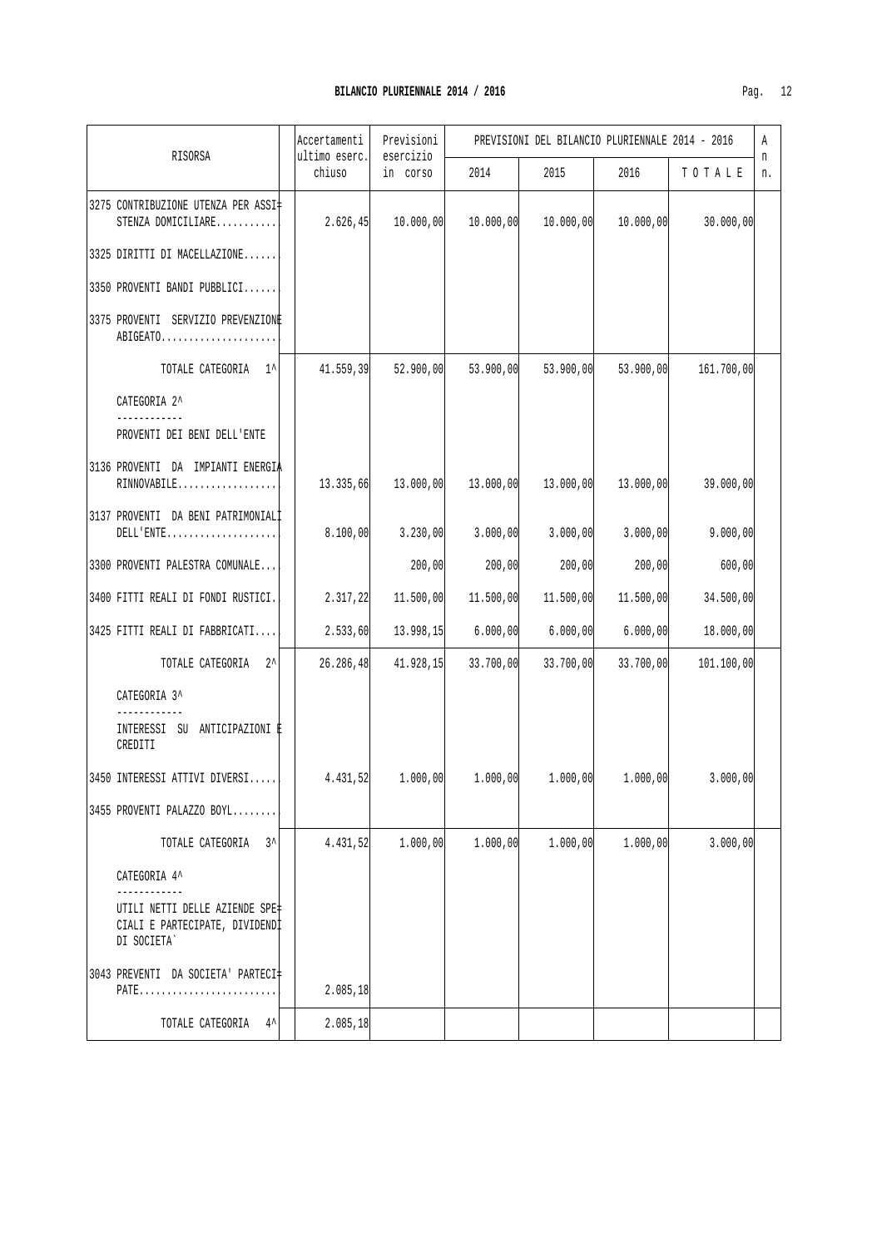|                                                                                                  | Accertamenti            | Previsioni            |           | PREVISIONI DEL BILANCIO PLURIENNALE 2014 - 2016 |           |                                                                              | Α       |
|--------------------------------------------------------------------------------------------------|-------------------------|-----------------------|-----------|-------------------------------------------------|-----------|------------------------------------------------------------------------------|---------|
| RISORSA                                                                                          | ultimo eserc.<br>chiuso | esercizio<br>in corso | 2014      | 2015                                            | 2016      | TOTALE                                                                       | n<br>n. |
| 3275 CONTRIBUZIONE UTENZA PER ASSI <sup>+</sup><br>STENZA DOMICILIARE                            | 2.626, 45               | 10.000,00             | 10.000,00 | 10.000, 00                                      | 10.000,00 | 30.000,00                                                                    |         |
| 3325 DIRITTI DI MACELLAZIONE                                                                     |                         |                       |           |                                                 |           |                                                                              |         |
| 3350 PROVENTI BANDI PUBBLICI                                                                     |                         |                       |           |                                                 |           |                                                                              |         |
| 3375 PROVENTI SERVIZIO PREVENZIONE<br>ABIGEATO                                                   |                         |                       |           |                                                 |           |                                                                              |         |
| TOTALE CATEGORIA 1^                                                                              | 41.559,39               | 52.900,00             | 53.900,00 | 53.900,00                                       | 53.900,00 | 161.700,00                                                                   |         |
| CATEGORIA 2^                                                                                     |                         |                       |           |                                                 |           |                                                                              |         |
| PROVENTI DEI BENI DELL'ENTE                                                                      |                         |                       |           |                                                 |           |                                                                              |         |
| 3136 PROVENTI DA IMPIANTI ENERGIA<br>RINNOVABILE                                                 | 13.335,66               | 13.000,00             | 13.000,00 | 13.000,00                                       | 13.000,00 | 39.000,00                                                                    |         |
| 3137 PROVENTI DA BENI PATRIMONIALI<br>${\tt DELL'ENTER}\dots\dots\dots\dots\dots\dots\dots\dots$ | 8.100,00                | 3.230,00              | 3.000,00  | 3.000,00                                        | 3.000,00  | 9.000,00                                                                     |         |
| 3300 PROVENTI PALESTRA COMUNALE                                                                  |                         | 200,00                | 200,00    | 200,00                                          | 200,00    | 600,00                                                                       |         |
| 3400 FITTI REALI DI FONDI RUSTICI.                                                               | 2.317,22                | 11.500,00             | 11.500,00 | 11.500,00                                       | 11.500,00 | 34.500,00                                                                    |         |
| 3425 FITTI REALI DI FABBRICATI                                                                   | 2.533,60                | 13.998,15             | 6.000,00  | 6.000,00                                        | 6.000,00  | 18.000,00                                                                    |         |
| TOTALE CATEGORIA 2^                                                                              | 26.286, 48              | 41.928, 15            | 33.700,00 | 33.700,00                                       | 33.700,00 | 101.100,00                                                                   |         |
| CATEGORIA 3^                                                                                     |                         |                       |           |                                                 |           |                                                                              |         |
| ____________<br>INTERESSI SU ANTICIPAZIONI È<br>CREDITI                                          |                         |                       |           |                                                 |           |                                                                              |         |
| 3450 INTERESSI ATTIVI DIVERSI                                                                    |                         |                       |           |                                                 |           | $4.431,52$ $1.000,00$ $1.000,00$ $1.000,00$ $1.000,00$ $1.000,00$ $3.000,00$ |         |
| 3455 PROVENTI PALAZZO BOYL                                                                       |                         |                       |           |                                                 |           |                                                                              |         |
| TOTALE CATEGORIA 3^                                                                              | 4.431,52                | 1.000,00              | 1.000,00  | 1.000,00                                        | 1.000,00  | 3.000,00                                                                     |         |
| CATEGORIA 4^                                                                                     |                         |                       |           |                                                 |           |                                                                              |         |
| UTILI NETTI DELLE AZIENDE SPE‡<br>CIALI E PARTECIPATE, DIVIDENDI<br>DI SOCIETA`                  |                         |                       |           |                                                 |           |                                                                              |         |
| 3043 PREVENTI DA SOCIETA' PARTECI‡<br>PATE                                                       | 2.085, 18               |                       |           |                                                 |           |                                                                              |         |
| TOTALE CATEGORIA 4^                                                                              | 2.085, 18               |                       |           |                                                 |           |                                                                              |         |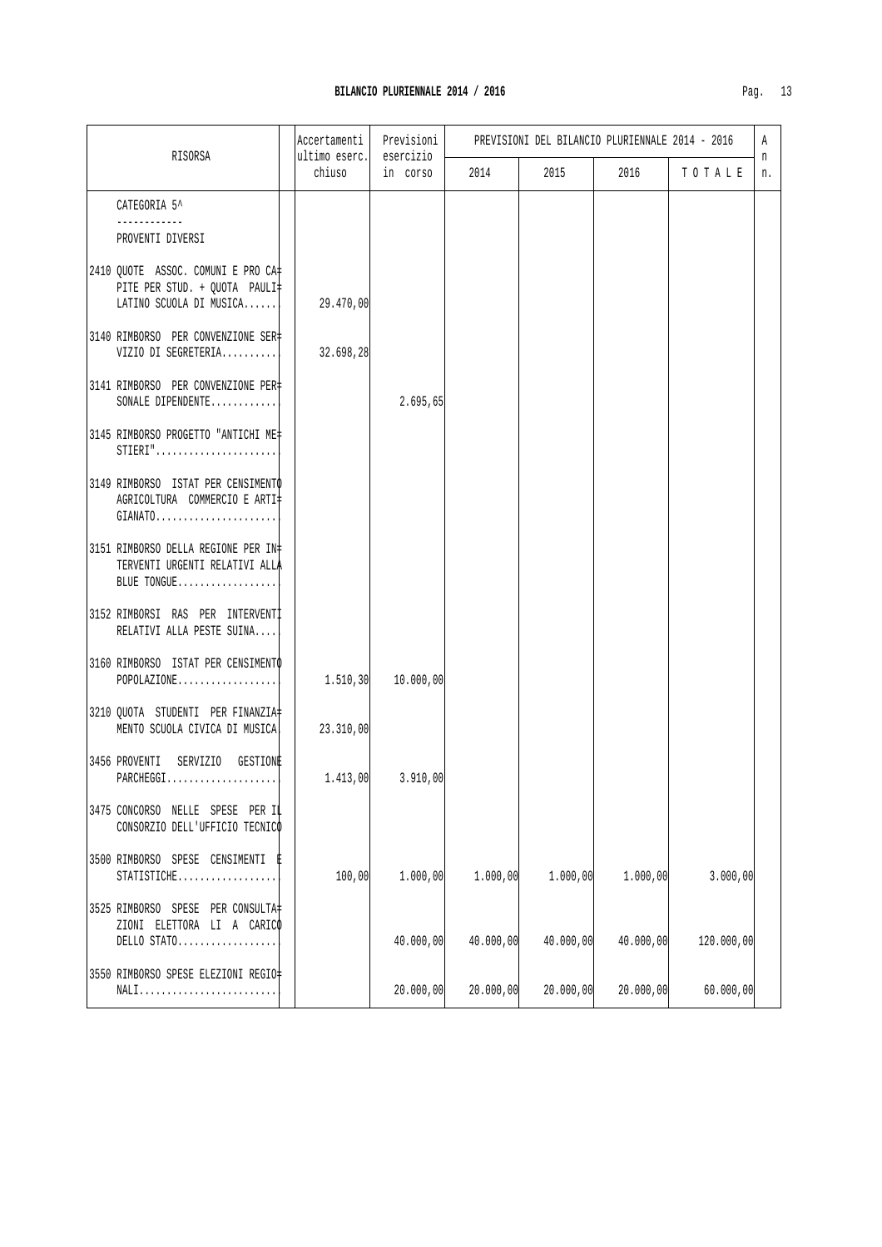|                                                                                                | Accertamenti            | Previsioni            |           |           | PREVISIONI DEL BILANCIO PLURIENNALE 2014 - 2016 |            | A       |
|------------------------------------------------------------------------------------------------|-------------------------|-----------------------|-----------|-----------|-------------------------------------------------|------------|---------|
| RISORSA                                                                                        | ultimo eserc.<br>chiuso | esercizio<br>in corso | 2014      | 2015      | 2016                                            | TOTALE     | n<br>n. |
| CATEGORIA 5^<br>PROVENTI DIVERSI                                                               |                         |                       |           |           |                                                 |            |         |
| 2410 QUOTE ASSOC. COMUNI E PRO CA#<br>PITE PER STUD. + QUOTA PAULI‡<br>LATINO SCUOLA DI MUSICA | 29.470,00               |                       |           |           |                                                 |            |         |
| 3140 RIMBORSO PER CONVENZIONE SER‡<br>VIZIO DI SEGRETERIA                                      | 32.698,28               |                       |           |           |                                                 |            |         |
| 3141 RIMBORSO PER CONVENZIONE PER‡<br>SONALE DIPENDENTE                                        |                         | 2.695,65              |           |           |                                                 |            |         |
| 3145 RIMBORSO PROGETTO "ANTICHI ME+<br>$STIERI$ "                                              |                         |                       |           |           |                                                 |            |         |
| 3149 RIMBORSO ISTAT PER CENSIMENTO<br>AGRICOLTURA COMMERCIO E ARTI‡<br>$GIANATO.$              |                         |                       |           |           |                                                 |            |         |
| 3151 RIMBORSO DELLA REGIONE PER IN#<br>TERVENTI URGENTI RELATIVI ALLA<br>BLUE TONGUE           |                         |                       |           |           |                                                 |            |         |
| 3152 RIMBORSI RAS PER INTERVENTI<br>RELATIVI ALLA PESTE SUINA                                  |                         |                       |           |           |                                                 |            |         |
| 3160 RIMBORSO ISTAT PER CENSIMENTO<br>POPOLAZIONE                                              | 1.510, 30               | 10.000,00             |           |           |                                                 |            |         |
| 3210 QUOTA STUDENTI PER FINANZIA#<br>MENTO SCUOLA CIVICA DI MUSICA!                            | 23.310,00               |                       |           |           |                                                 |            |         |
| 3456 PROVENTI<br>SERVIZIO GESTIONE<br>PARCHEGGI                                                |                         | $1.413,00$ $3.910,00$ |           |           |                                                 |            |         |
| 3475 CONCORSO NELLE SPESE PER IL<br>CONSORZIO DELL'UFFICIO TECNICO                             |                         |                       |           |           |                                                 |            |         |
| 3500 RIMBORSO SPESE CENSIMENTI<br>STATISTICHE                                                  | 100,00                  | 1.000,00              | 1.000,00  | 1.000,00  | 1.000,00                                        | 3.000,00   |         |
| 3525 RIMBORSO SPESE PER CONSULTA<br>ZIONI ELETTORA LI A CARICO<br>DELLO STATO                  |                         | 40.000,00             | 40.000,00 | 40.000,00 | 40.000,00                                       | 120.000,00 |         |
| 3550 RIMBORSO SPESE ELEZIONI REGIO-<br>NALI                                                    |                         | 20.000,00             | 20.000,00 | 20.000,00 | 20.000,00                                       | 60.000,00  |         |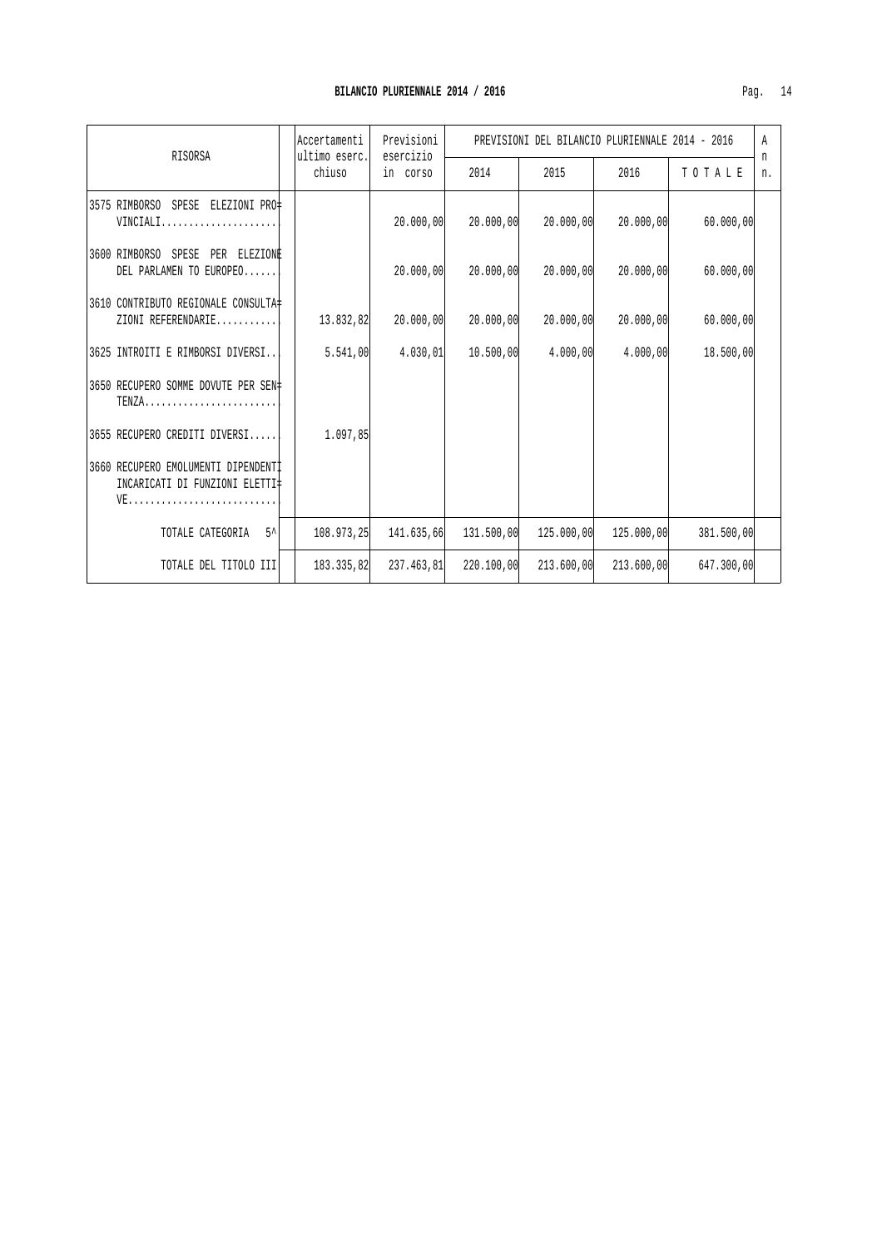| RISORSA                                                                       | Previsioni<br>Accertamenti<br>ultimo eserc.<br>esercizio |            | PREVISIONI DEL BILANCIO PLURIENNALE 2014 - 2016 |            |            |            |         |
|-------------------------------------------------------------------------------|----------------------------------------------------------|------------|-------------------------------------------------|------------|------------|------------|---------|
|                                                                               | chiuso                                                   | in corso   | 2014                                            | 2015       | 2016       | TOTALE     | n<br>n. |
| 3575 RIMBORSO SPESE ELEZIONI PRO‡<br>VINCIALI                                 |                                                          | 20.000,00  | 20.000,00                                       | 20.000,00  | 20.000,00  | 60.000,00  |         |
| 3600 RIMBORSO SPESE PER ELEZIONE<br>DEL PARLAMEN TO EUROPEO                   |                                                          | 20.000,00  | 20.000,00                                       | 20.000,00  | 20.000,00  | 60.000,00  |         |
| 3610 CONTRIBUTO REGIONALE CONSULTA‡<br>ZIONI REFERENDARIE                     | 13.832,82                                                | 20.000,00  | 20.000,00                                       | 20.000,00  | 20.000,00  | 60.000,00  |         |
| 3625 INTROITI E RIMBORSI DIVERSI                                              | 5.541,00                                                 | 4.030,01   | 10.500,00                                       | 4.000,00   | 4.000,00   | 18.500,00  |         |
| 3650 RECUPERO SOMME DOVUTE PER SEN#<br>$TENZA$                                |                                                          |            |                                                 |            |            |            |         |
| 3655 RECUPERO CREDITI DIVERSI                                                 | 1.097,85                                                 |            |                                                 |            |            |            |         |
| 3660 RECUPERO EMOLUMENTI DIPENDENTI<br>INCARICATI DI FUNZIONI ELETTI‡<br>$VE$ |                                                          |            |                                                 |            |            |            |         |
| $5^{\lambda}$<br>TOTALE CATEGORIA                                             | 108.973.25                                               | 141.635,66 | 131.500,00                                      | 125,000,00 | 125,000,00 | 381.500,00 |         |
| TOTALE DEL TITOLO III                                                         | 183.335.82                                               | 237.463.81 | 220.100,00                                      | 213.600,00 | 213.600.00 | 647.300,00 |         |

 $\overline{\phantom{a}}$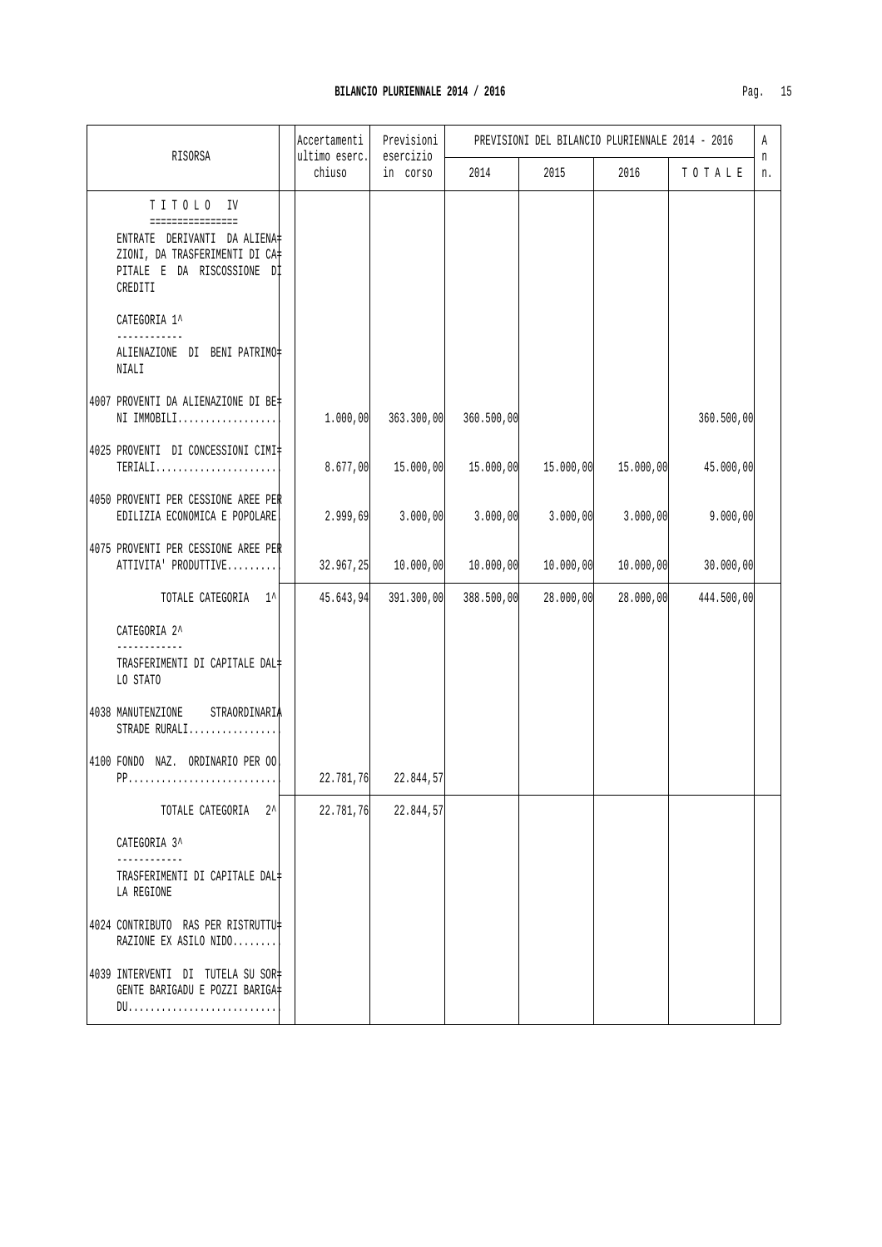| RISORSA                                                                                                                                  | Accertamenti<br>ultimo eserc. | Previsioni<br>esercizio | PREVISIONI DEL BILANCIO PLURIENNALE 2014 - 2016 |           |           |            |         |
|------------------------------------------------------------------------------------------------------------------------------------------|-------------------------------|-------------------------|-------------------------------------------------|-----------|-----------|------------|---------|
|                                                                                                                                          | chiuso                        | in corso                | 2014                                            | 2015      | 2016      | TOTALE     | n<br>n. |
| TITOLO IV<br>================<br>ENTRATE DERIVANTI DA ALIENA‡<br>ZIONI, DA TRASFERIMENTI DI CA‡<br>PITALE E DA RISCOSSIONE DI<br>CREDITI |                               |                         |                                                 |           |           |            |         |
| CATEGORIA 1^<br>------------<br>ALIENAZIONE DI BENI PATRIMO‡<br>NIALI                                                                    |                               |                         |                                                 |           |           |            |         |
| 4007 PROVENTI DA ALIENAZIONE DI BE‡<br>NI IMMOBILI                                                                                       | 1.000,00                      | 363.300,00              | 360.500,00                                      |           |           | 360.500,00 |         |
| 4025 PROVENTI DI CONCESSIONI CIMI‡<br>TERIALI                                                                                            | 8.677,00                      |                         | 15.000,00  15.000,00  15.000,00  15.000,00      |           |           | 45.000,00  |         |
| 4050 PROVENTI PER CESSIONE AREE PER<br>EDILIZIA ECONOMICA E POPOLARE.                                                                    | 2.999,69                      | 3.000, 00               | 3.000,00                                        | 3.000, 00 | 3.000,00  | 9.000,00   |         |
| 4075 PROVENTI PER CESSIONE AREE PER<br>ATTIVITA' PRODUTTIVE                                                                              |                               | $32.967, 25$ 10.000,00  | 10.000,00                                       | 10.000,00 | 10.000,00 | 30.000,00  |         |
| TOTALE CATEGORIA 1^                                                                                                                      | 45.643,94                     | 391.300,00              | 388.500,00                                      | 28.000,00 | 28.000,00 | 444.500,00 |         |
| CATEGORIA 2^                                                                                                                             |                               |                         |                                                 |           |           |            |         |
| TRASFERIMENTI DI CAPITALE DAL‡<br>LO STATO                                                                                               |                               |                         |                                                 |           |           |            |         |
| STRAORDINARIA<br>4038 MANUTENZIONE<br>STRADE RURALI                                                                                      |                               |                         |                                                 |           |           |            |         |
| 4100 FONDO NAZ. ORDINARIO PER OO!                                                                                                        |                               | $22.781,76$ 22.844,57   |                                                 |           |           |            |         |
| $2^{\lambda}$<br>TOTALE CATEGORIA                                                                                                        | 22.781,76                     | 22.844,57               |                                                 |           |           |            |         |
| CATEGORIA 3^                                                                                                                             |                               |                         |                                                 |           |           |            |         |
| ------------<br>TRASFERIMENTI DI CAPITALE DAL‡<br>LA REGIONE                                                                             |                               |                         |                                                 |           |           |            |         |
| 4024 CONTRIBUTO RAS PER RISTRUTTU#<br>RAZIONE EX ASILO NIDO                                                                              |                               |                         |                                                 |           |           |            |         |
| 4039 INTERVENTI DI TUTELA SU SOR#<br>GENTE BARIGADU E POZZI BARIGA#                                                                      |                               |                         |                                                 |           |           |            |         |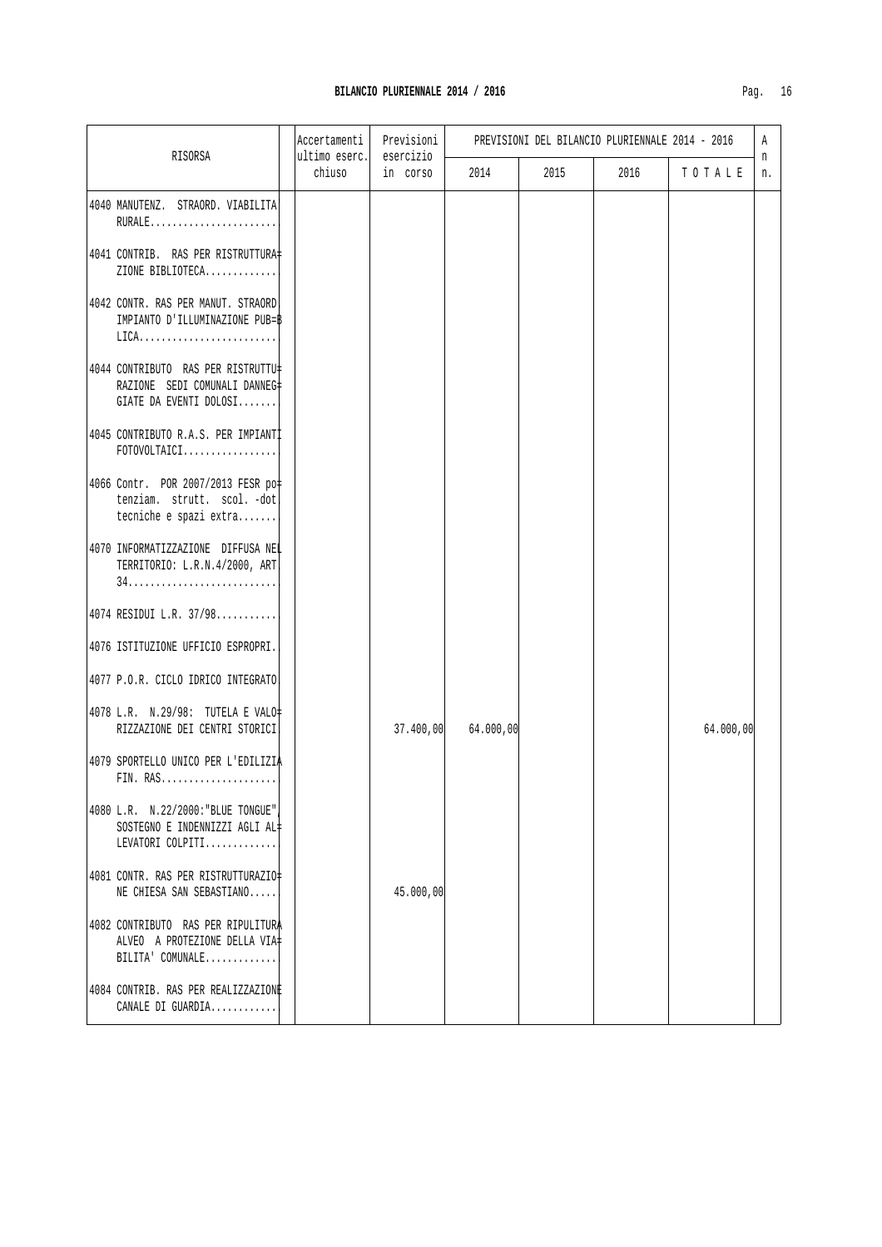|                                                                                                        | Accertamenti            | Previsioni<br>esercizio | PREVISIONI DEL BILANCIO PLURIENNALE 2014 - 2016 |      |      |           |         |
|--------------------------------------------------------------------------------------------------------|-------------------------|-------------------------|-------------------------------------------------|------|------|-----------|---------|
| RISORSA                                                                                                | ultimo eserc.<br>chiuso | in corso                | 2014                                            | 2015 | 2016 | TOTALE    | n<br>n. |
| 4040 MANUTENZ. STRAORD. VIABILITA<br>RURALE                                                            |                         |                         |                                                 |      |      |           |         |
| 4041 CONTRIB. RAS PER RISTRUTTURA#<br>ZIONE BIBLIOTECA                                                 |                         |                         |                                                 |      |      |           |         |
| 4042 CONTR. RAS PER MANUT. STRAORD!<br>IMPIANTO D'ILLUMINAZIONE PUB=B<br>$LICA.$                       |                         |                         |                                                 |      |      |           |         |
| 4044 CONTRIBUTO RAS PER RISTRUTTU#<br>RAZIONE SEDI COMUNALI DANNEG#<br>GIATE DA EVENTI DOLOSI          |                         |                         |                                                 |      |      |           |         |
| 4045 CONTRIBUTO R.A.S. PER IMPIANTI<br>${\tt FOTOVOLTAICI.}\ldots\ldots\ldots\ldots\ldots\ldots\ldots$ |                         |                         |                                                 |      |      |           |         |
| 4066 Contr. POR 2007/2013 FESR po<br>tenziam. strutt. scol. -dot<br>tecniche e spazi extra             |                         |                         |                                                 |      |      |           |         |
| 4070 INFORMATIZZAZIONE DIFFUSA NEL<br>TERRITORIO: L.R.N.4/2000, ART.                                   |                         |                         |                                                 |      |      |           |         |
| 4074 RESIDUI L.R. 37/98                                                                                |                         |                         |                                                 |      |      |           |         |
| 4076 ISTITUZIONE UFFICIO ESPROPRI.                                                                     |                         |                         |                                                 |      |      |           |         |
| 4077 P.O.R. CICLO IDRICO INTEGRATO                                                                     |                         |                         |                                                 |      |      |           |         |
| 4078 L.R. N.29/98: TUTELA E VALO=<br>RIZZAZIONE DEI CENTRI STORICI                                     |                         | 37.400,00               | 64.000,00                                       |      |      | 64.000,00 |         |
| 4079 SPORTELLO UNICO PER L'EDILIZIA<br>FIN. RAS                                                        |                         |                         |                                                 |      |      |           |         |
| 4080 L.R. N.22/2000: "BLUE TONGUE"<br>SOSTEGNO E INDENNIZZI AGLI AL#<br>LEVATORI COLPITI               |                         |                         |                                                 |      |      |           |         |
| 4081 CONTR. RAS PER RISTRUTTURAZIO<br>NE CHIESA SAN SEBASTIANO                                         |                         | 45.000,00               |                                                 |      |      |           |         |
| 4082 CONTRIBUTO RAS PER RIPULITURA<br>ALVEO A PROTEZIONE DELLA VIA<br>BILITA' COMUNALE                 |                         |                         |                                                 |      |      |           |         |
| 4084 CONTRIB. RAS PER REALIZZAZIONE<br>CANALE DI GUARDIA                                               |                         |                         |                                                 |      |      |           |         |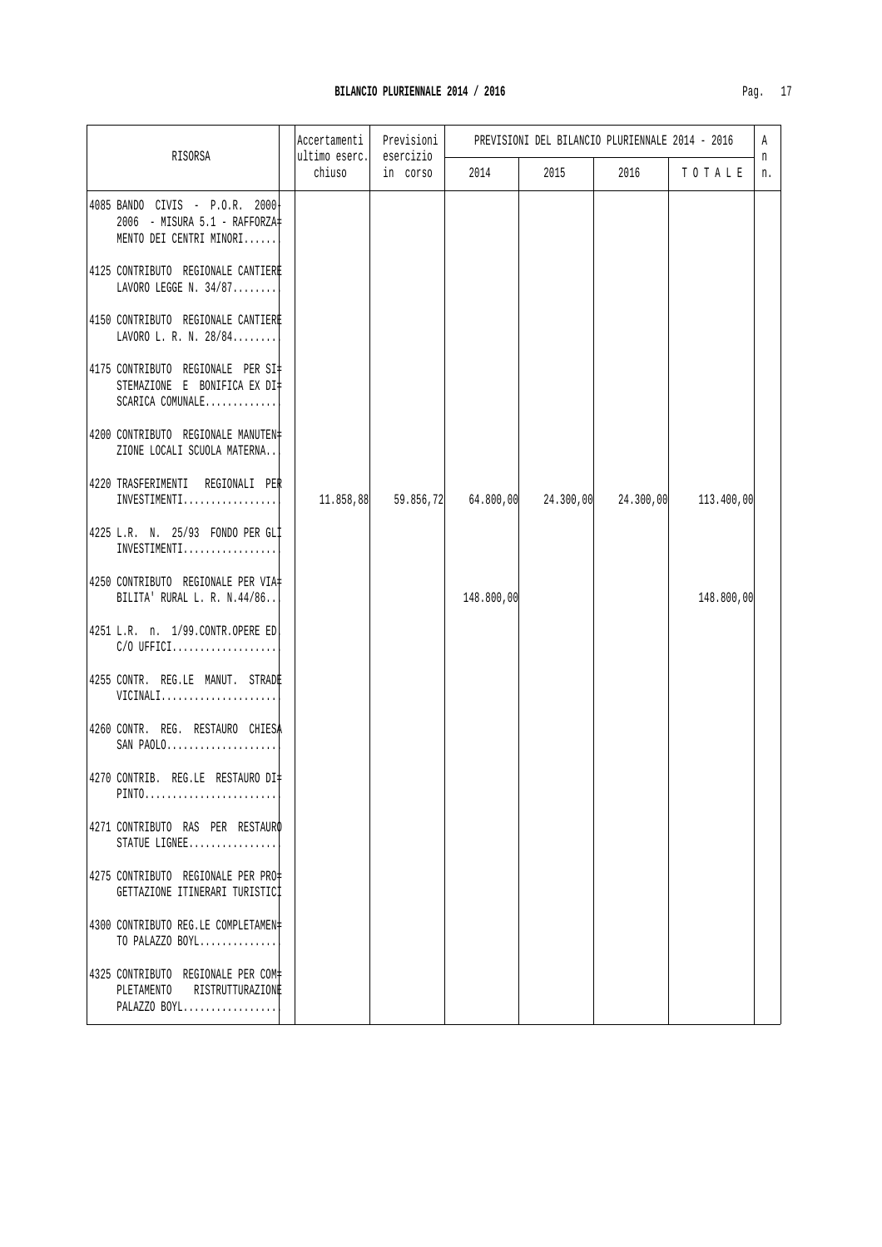|                                                                                                  | Accertamenti            | Previsioni<br>esercizio |            | PREVISIONI DEL BILANCIO PLURIENNALE 2014 - 2016 |      |            |         |  |
|--------------------------------------------------------------------------------------------------|-------------------------|-------------------------|------------|-------------------------------------------------|------|------------|---------|--|
| RISORSA                                                                                          | ultimo eserc.<br>chiuso | in corso                | 2014       | 2015                                            | 2016 | TOTALE     | n<br>n. |  |
| 4085 BANDO CIVIS - P.O.R. 2000+<br>2006 - MISURA 5.1 - RAFFORZA‡<br>MENTO DEI CENTRI MINORI      |                         |                         |            |                                                 |      |            |         |  |
| 4125 CONTRIBUTO REGIONALE CANTIERE<br>LAVORO LEGGE N. $34/87$                                    |                         |                         |            |                                                 |      |            |         |  |
| 4150 CONTRIBUTO REGIONALE CANTIERE<br>LAVORO L. R. N. 28/84                                      |                         |                         |            |                                                 |      |            |         |  |
| 4175 CONTRIBUTO REGIONALE PER SI#<br>STEMAZIONE E BONIFICA EX DI‡<br>SCARICA COMUNALE            |                         |                         |            |                                                 |      |            |         |  |
| 4200 CONTRIBUTO REGIONALE MANUTEN#<br>ZIONE LOCALI SCUOLA MATERNA                                |                         |                         |            |                                                 |      |            |         |  |
| 4220 TRASFERIMENTI REGIONALI PER<br>$INVESTIMENT1.$                                              | 11.858,88               |                         |            |                                                 |      | 113.400,00 |         |  |
| 4225 L.R. N. 25/93 FONDO PER GLI<br>INVESTIMENTI                                                 |                         |                         |            |                                                 |      |            |         |  |
| 4250 CONTRIBUTO REGIONALE PER VIA#<br>BILITA' RURAL L. R. N.44/86                                |                         |                         | 148.800,00 |                                                 |      | 148.800,00 |         |  |
| 4251 L.R. n. 1/99.CONTR.OPERE ED.<br>$C/O$ UFFICI                                                |                         |                         |            |                                                 |      |            |         |  |
| 4255 CONTR. REG.LE MANUT. STRADE<br>VICINALI                                                     |                         |                         |            |                                                 |      |            |         |  |
| 4260 CONTR. REG. RESTAURO CHIESA<br>$SAN$ $PAOLO$                                                |                         |                         |            |                                                 |      |            |         |  |
| 4270 CONTRIB. REG.LE RESTAURO DI‡<br>$\verb PINTO , \verb  , \verb  , \verb  , \verb  , \verb  $ |                         |                         |            |                                                 |      |            |         |  |
| 4271 CONTRIBUTO RAS PER RESTAURO<br>STATUE LIGNEE                                                |                         |                         |            |                                                 |      |            |         |  |
| 4275 CONTRIBUTO REGIONALE PER PRO+<br>GETTAZIONE ITINERARI TURISTICI                             |                         |                         |            |                                                 |      |            |         |  |
| 4300 CONTRIBUTO REG.LE COMPLETAMEN#<br>TO PALAZZO BOYL                                           |                         |                         |            |                                                 |      |            |         |  |
| 4325 CONTRIBUTO REGIONALE PER COM+<br>PLETAMENTO RISTRUTTURAZIONE<br>PALAZZO BOYL                |                         |                         |            |                                                 |      |            |         |  |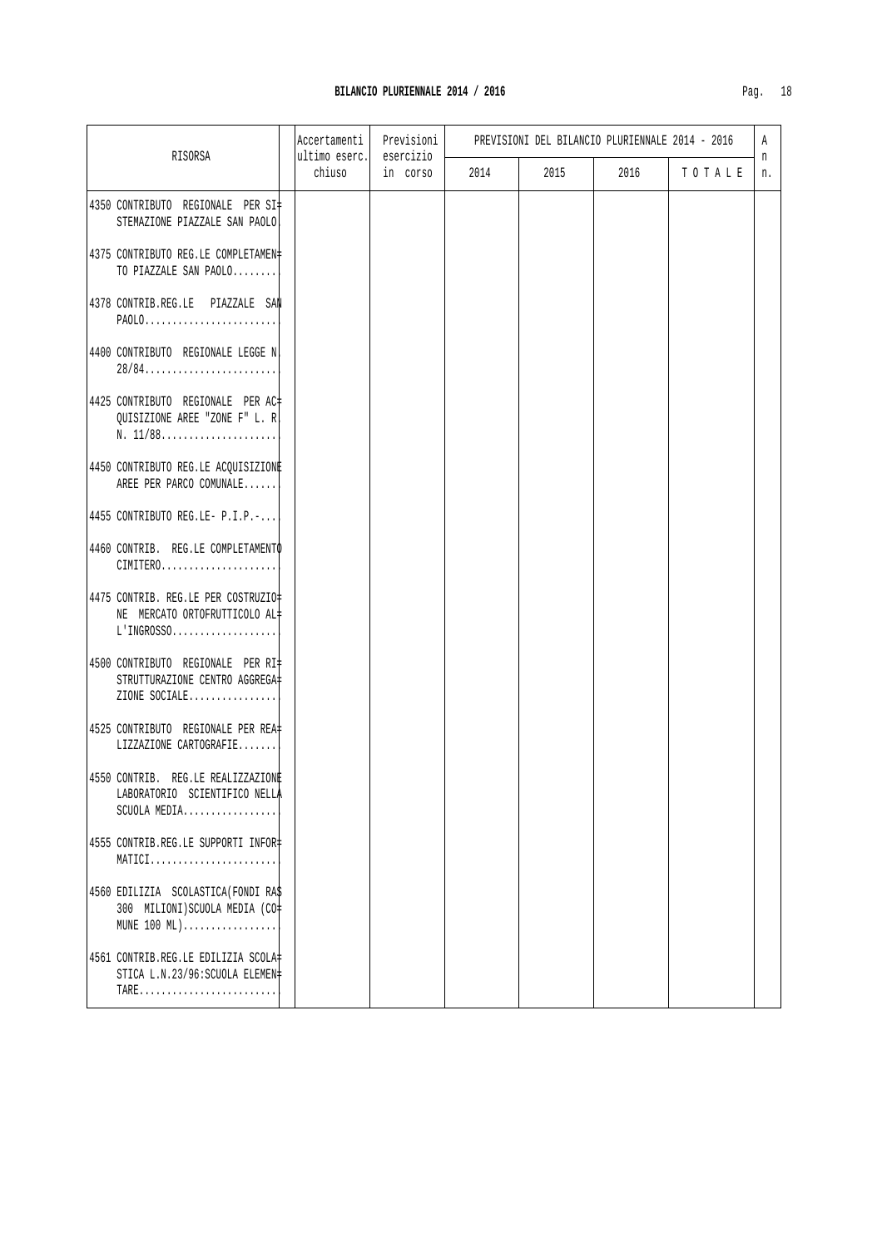|                                                                                          | Accertamenti            | Previsioni            | PREVISIONI DEL BILANCIO PLURIENNALE 2014 - 2016 |      |      | A      |         |
|------------------------------------------------------------------------------------------|-------------------------|-----------------------|-------------------------------------------------|------|------|--------|---------|
| RISORSA                                                                                  | ultimo eserc.<br>chiuso | esercizio<br>in corso | 2014                                            | 2015 | 2016 | TOTALE | n<br>n. |
| 4350 CONTRIBUTO REGIONALE PER SI#<br>STEMAZIONE PIAZZALE SAN PAOLO                       |                         |                       |                                                 |      |      |        |         |
| 4375 CONTRIBUTO REG.LE COMPLETAMEN#<br>TO PIAZZALE SAN PAOLO                             |                         |                       |                                                 |      |      |        |         |
| 4378 CONTRIB.REG.LE PIAZZALE SAN<br>$PAOLO$                                              |                         |                       |                                                 |      |      |        |         |
| 4400 CONTRIBUTO REGIONALE LEGGE N                                                        |                         |                       |                                                 |      |      |        |         |
| 4425 CONTRIBUTO REGIONALE PER AC+<br>QUISIZIONE AREE "ZONE F" L. R<br>N. 11/88           |                         |                       |                                                 |      |      |        |         |
| 4450 CONTRIBUTO REG.LE ACQUISIZIONE<br>AREE PER PARCO COMUNALE                           |                         |                       |                                                 |      |      |        |         |
| 4455 CONTRIBUTO REG.LE- P.I.P.-                                                          |                         |                       |                                                 |      |      |        |         |
| 4460 CONTRIB. REG.LE COMPLETAMENTO<br>CIMITERO                                           |                         |                       |                                                 |      |      |        |         |
| 4475 CONTRIB. REG.LE PER COSTRUZIO=<br>NE MERCATO ORTOFRUTTICOLO AL+<br>$L'$ INGROSSO    |                         |                       |                                                 |      |      |        |         |
| 4500 CONTRIBUTO REGIONALE PER RI‡<br>STRUTTURAZIONE CENTRO AGGREGA‡<br>ZIONE SOCIALE     |                         |                       |                                                 |      |      |        |         |
| 4525 CONTRIBUTO REGIONALE PER REA‡<br>LIZZAZIONE CARTOGRAFIE                             |                         |                       |                                                 |      |      |        |         |
| 4550 CONTRIB. REG.LE REALIZZAZIONE<br>LABORATORIO SCIENTIFICO NELLA<br>$SCUOLA$ $MEDIA.$ |                         |                       |                                                 |      |      |        |         |
| 4555 CONTRIB.REG.LE SUPPORTI INFOR-<br>MATICI                                            |                         |                       |                                                 |      |      |        |         |
| 4560 EDILIZIA SCOLASTICA (FONDI RAS<br>300 MILIONI) SCUOLA MEDIA (CO=<br>MUNE 100 ML)    |                         |                       |                                                 |      |      |        |         |
| 4561 CONTRIB.REG.LE EDILIZIA SCOLA-<br>STICA L.N.23/96: SCUOLA ELEMEN#                   |                         |                       |                                                 |      |      |        |         |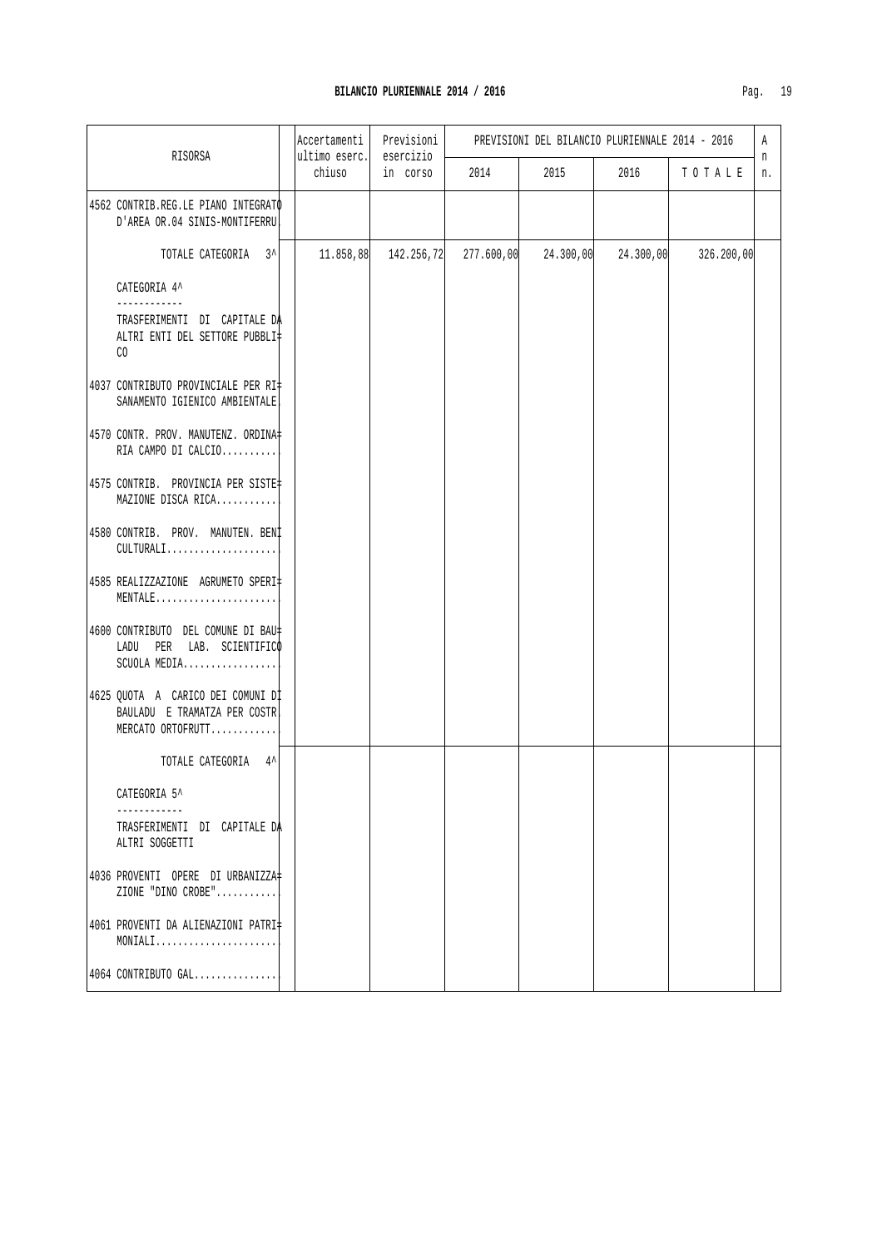| U | ١ |
|---|---|
|   |   |

|                                                                                        | Accertamenti<br>Previsioni<br>ultimo eserc.<br>esercizio<br>RISORSA |           |            | PREVISIONI DEL BILANCIO PLURIENNALE 2014 - 2016 |           |           |            |         |
|----------------------------------------------------------------------------------------|---------------------------------------------------------------------|-----------|------------|-------------------------------------------------|-----------|-----------|------------|---------|
|                                                                                        |                                                                     | chiuso    | in corso   | 2014                                            | 2015      | 2016      | TOTALE     | n<br>n. |
| 4562 CONTRIB.REG.LE PIANO INTEGRATO<br>D'AREA OR.04 SINIS-MONTIFERRU                   |                                                                     |           |            |                                                 |           |           |            |         |
| TOTALE CATEGORIA 3^                                                                    |                                                                     | 11.858,88 | 142.256,72 | 277.600,00                                      | 24.300,00 | 24.300,00 | 326.200,00 |         |
| CATEGORIA 4^<br>----------                                                             |                                                                     |           |            |                                                 |           |           |            |         |
| TRASFERIMENTI DI CAPITALE DA<br>ALTRI ENTI DEL SETTORE PUBBLI‡<br>CO.                  |                                                                     |           |            |                                                 |           |           |            |         |
| 4037 CONTRIBUTO PROVINCIALE PER RI#<br>SANAMENTO IGIENICO AMBIENTALE.                  |                                                                     |           |            |                                                 |           |           |            |         |
| 4570 CONTR. PROV. MANUTENZ. ORDINA<br>RIA CAMPO DI CALCIO                              |                                                                     |           |            |                                                 |           |           |            |         |
| 4575 CONTRIB. PROVINCIA PER SISTE#<br>MAZIONE DISCA RICA                               |                                                                     |           |            |                                                 |           |           |            |         |
| 4580 CONTRIB. PROV. MANUTEN. BENI<br>CULTURALI                                         |                                                                     |           |            |                                                 |           |           |            |         |
| 4585 REALIZZAZIONE AGRUMETO SPERI‡<br>MENTALE                                          |                                                                     |           |            |                                                 |           |           |            |         |
| 4600 CONTRIBUTO DEL COMUNE DI BAU‡<br>LADU PER LAB. SCIENTIFICO<br>SCUOLA MEDIA        |                                                                     |           |            |                                                 |           |           |            |         |
| 4625 QUOTA A CARICO DEI COMUNI DI<br>BAULADU E TRAMATZA PER COSTR<br>MERCATO ORTOFRUTT |                                                                     |           |            |                                                 |           |           |            |         |
| TOTALE CATEGORIA 4^                                                                    |                                                                     |           |            |                                                 |           |           |            |         |
| CATEGORIA 5^                                                                           |                                                                     |           |            |                                                 |           |           |            |         |
| TRASFERIMENTI DI CAPITALE DA<br>ALTRI SOGGETTI                                         |                                                                     |           |            |                                                 |           |           |            |         |
| 4036 PROVENTI OPERE DI URBANIZZA‡<br>ZIONE "DINO CROBE"                                |                                                                     |           |            |                                                 |           |           |            |         |
| 4061 PROVENTI DA ALIENAZIONI PATRI‡<br>MONIALI                                         |                                                                     |           |            |                                                 |           |           |            |         |
| 4064 CONTRIBUTO GAL                                                                    |                                                                     |           |            |                                                 |           |           |            |         |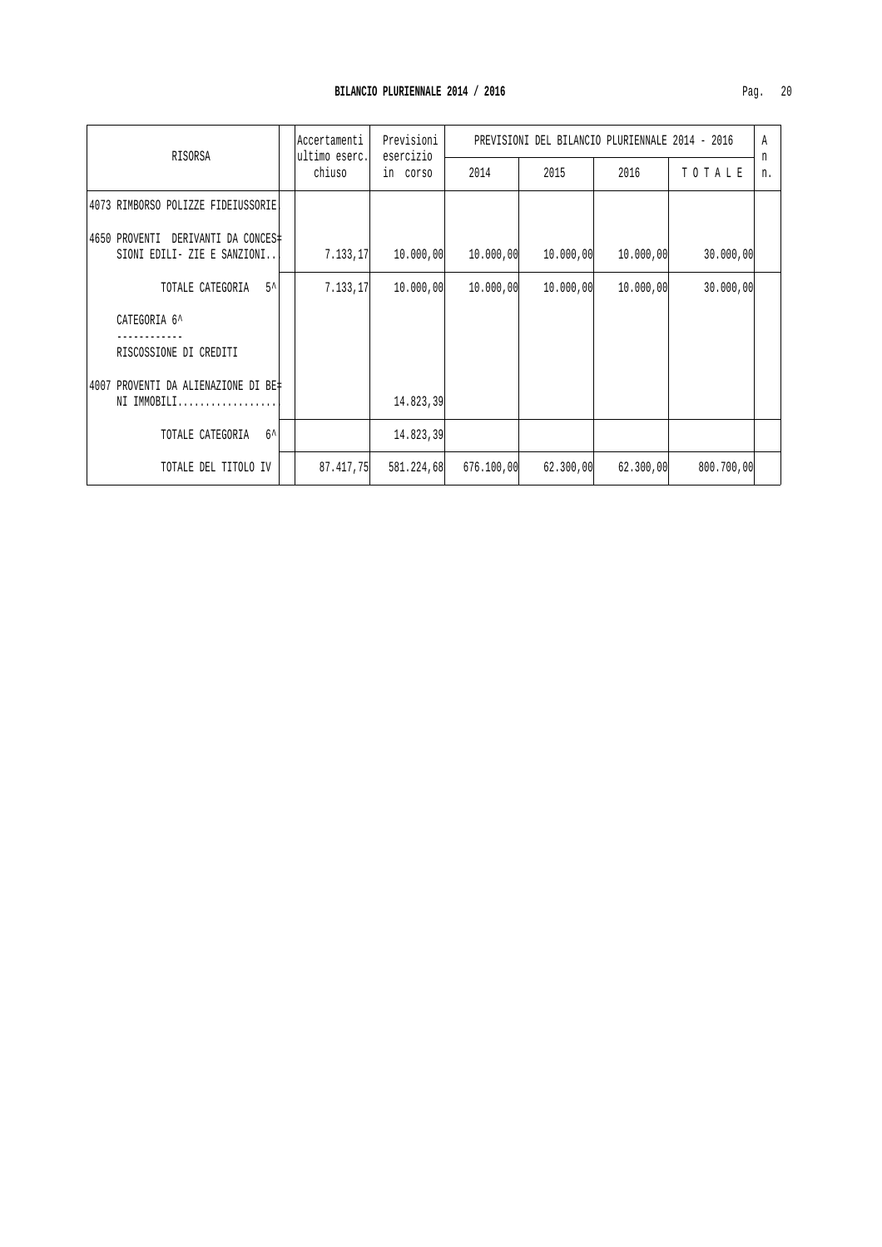|                                     | Accertamenti<br>ultimo eserc.<br>esercizio<br>RISORSA |           | Previsioni | PREVISIONI DEL BILANCIO PLURIENNALE 2014 - 2016 |           |           |            | Α<br>n |
|-------------------------------------|-------------------------------------------------------|-----------|------------|-------------------------------------------------|-----------|-----------|------------|--------|
|                                     |                                                       | chiuso    | in corso   | 2014                                            | 2015      | 2016      | TOTALE     | n.     |
| 4073 RIMBORSO POLIZZE FIDEIUSSORIE  |                                                       |           |            |                                                 |           |           |            |        |
| 4650 PROVENTI DERIVANTI DA CONCES‡  |                                                       |           |            |                                                 |           |           |            |        |
| SIONI EDILI- ZIE E SANZIONI         |                                                       | 7.133,17  | 10.000,00  | 10.000,00                                       | 10.000,00 | 10.000,00 | 30.000,00  |        |
| TOTALE CATEGORIA 5^                 |                                                       | 7.133.17  | 10.000,00  | 10.000,00                                       | 10.000,00 | 10.000,00 | 30.000,00  |        |
| CATEGORIA 6^                        |                                                       |           |            |                                                 |           |           |            |        |
| RISCOSSIONE DI CREDITI              |                                                       |           |            |                                                 |           |           |            |        |
| 4007 PROVENTI DA ALIENAZIONE DI BE‡ |                                                       |           |            |                                                 |           |           |            |        |
| NI IMMOBILI                         |                                                       |           | 14.823,39  |                                                 |           |           |            |        |
| TOTALE CATEGORIA<br>$6^{\lambda}$   |                                                       |           | 14.823,39  |                                                 |           |           |            |        |
| TOTALE DEL TITOLO IV                |                                                       | 87.417,75 | 581.224,68 | 676.100,00                                      | 62.300,00 | 62.300,00 | 800.700,00 |        |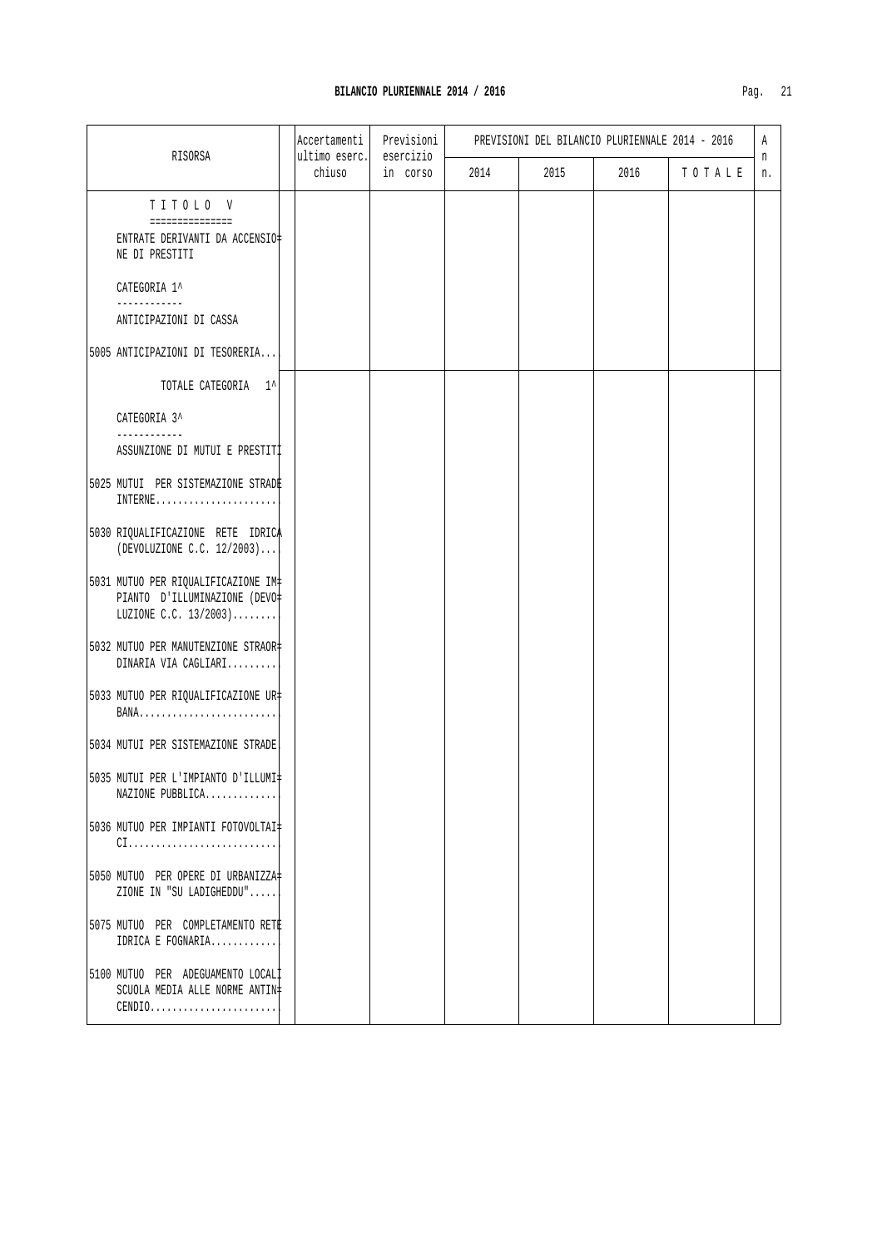| RISORSA                                                                                                                                  | Accertamenti<br>ultimo eserc. | Previsioni<br>esercizio | PREVISIONI DEL BILANCIO PLURIENNALE 2014 - 2016 |      |      |         | A<br>n |
|------------------------------------------------------------------------------------------------------------------------------------------|-------------------------------|-------------------------|-------------------------------------------------|------|------|---------|--------|
|                                                                                                                                          | chiuso                        | in corso                | 2014                                            | 2015 | 2016 | TO TALE | n.     |
| TITOLO V<br>===============                                                                                                              |                               |                         |                                                 |      |      |         |        |
| ENTRATE DERIVANTI DA ACCENSIO‡<br>NE DI PRESTITI                                                                                         |                               |                         |                                                 |      |      |         |        |
| CATEGORIA 1^<br>---------                                                                                                                |                               |                         |                                                 |      |      |         |        |
| ANTICIPAZIONI DI CASSA                                                                                                                   |                               |                         |                                                 |      |      |         |        |
| 5005 ANTICIPAZIONI DI TESORERIA                                                                                                          |                               |                         |                                                 |      |      |         |        |
| TOTALE CATEGORIA 1^                                                                                                                      |                               |                         |                                                 |      |      |         |        |
| CATEGORIA 3^<br>------------                                                                                                             |                               |                         |                                                 |      |      |         |        |
| ASSUNZIONE DI MUTUI E PRESTITI                                                                                                           |                               |                         |                                                 |      |      |         |        |
| 5025 MUTUI PER SISTEMAZIONE STRADE<br>$INTERNE$                                                                                          |                               |                         |                                                 |      |      |         |        |
| 5030 RIQUALIFICAZIONE RETE IDRICA<br>(DEVOLUZIONE C.C. 12/2003)                                                                          |                               |                         |                                                 |      |      |         |        |
| 5031 MUTUO PER RIQUALIFICAZIONE IM<br>PIANTO D'ILLUMINAZIONE (DEVO‡<br>LUZIONE C.C. $13/2003$                                            |                               |                         |                                                 |      |      |         |        |
| 5032 MUTUO PER MANUTENZIONE STRAOR#<br>DINARIA VIA CAGLIARI                                                                              |                               |                         |                                                 |      |      |         |        |
| 5033 MUTUO PER RIQUALIFICAZIONE UR‡<br>BANA                                                                                              |                               |                         |                                                 |      |      |         |        |
| 5034 MUTUI PER SISTEMAZIONE STRADE                                                                                                       |                               |                         |                                                 |      |      |         |        |
| 5035 MUTUI PER L'IMPIANTO D'ILLUMI‡<br>NAZIONE PUBBLICA                                                                                  |                               |                         |                                                 |      |      |         |        |
| 5036 MUTUO PER IMPIANTI FOTOVOLTAI<br>$CI \ldots \ldots \ldots \ldots \ldots \ldots \ldots \ldots \ldots$                                |                               |                         |                                                 |      |      |         |        |
| 5050 MUTUO PER OPERE DI URBANIZZA<br>ZIONE IN "SU LADIGHEDDU"                                                                            |                               |                         |                                                 |      |      |         |        |
| 5075 MUTUO PER COMPLETAMENTO RETE<br>IDRICA E FOGNARIA                                                                                   |                               |                         |                                                 |      |      |         |        |
| 5100 MUTUO PER ADEGUAMENTO LOCALI<br>SCUOLA MEDIA ALLE NORME ANTIN‡<br>$\texttt{CENDIO} \dots \dots \dots \dots \dots \dots \dots \dots$ |                               |                         |                                                 |      |      |         |        |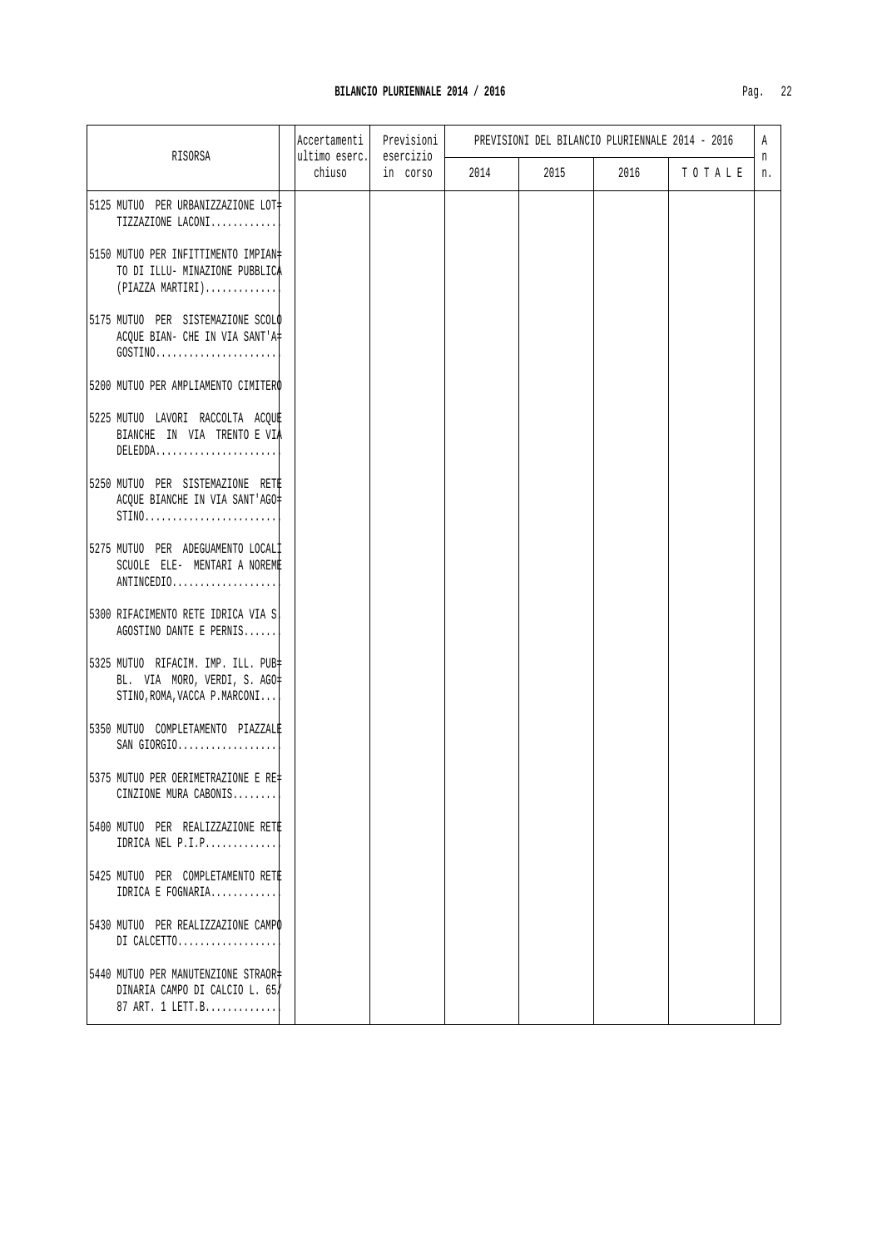|                                                                                                                                   | Accertamenti            | Previsioni<br>esercizio |      | PREVISIONI DEL BILANCIO PLURIENNALE 2014 - 2016 |      |         | A       |
|-----------------------------------------------------------------------------------------------------------------------------------|-------------------------|-------------------------|------|-------------------------------------------------|------|---------|---------|
| RISORSA                                                                                                                           | ultimo eserc.<br>chiuso | in corso                | 2014 | 2015                                            | 2016 | TO TALE | n<br>n. |
| 5125 MUTUO PER URBANIZZAZIONE LOT+<br>TIZZAZIONE LACONI                                                                           |                         |                         |      |                                                 |      |         |         |
| 5150 MUTUO PER INFITTIMENTO IMPIAN#<br>TO DI ILLU- MINAZIONE PUBBLICA<br>$(PIAZZA MARTIRI) \ldots \ldots \ldots$                  |                         |                         |      |                                                 |      |         |         |
| 5175 MUTUO PER SISTEMAZIONE SCOLO<br>ACQUE BIAN- CHE IN VIA SANT'A#<br>$GOSTINO \ldots \ldots \ldots \ldots \ldots \ldots \ldots$ |                         |                         |      |                                                 |      |         |         |
| 5200 MUTUO PER AMPLIAMENTO CIMITERO                                                                                               |                         |                         |      |                                                 |      |         |         |
| 5225 MUTUO LAVORI RACCOLTA ACQUE<br>BIANCHE IN VIA TRENTO E VIA<br>$DELEDDA. \ldots \ldots \ldots \ldots \ldots \ldots \ldots$    |                         |                         |      |                                                 |      |         |         |
| 5250 MUTUO PER SISTEMAZIONE RETE<br>ACQUE BIANCHE IN VIA SANT'AGO#<br>$STINO$                                                     |                         |                         |      |                                                 |      |         |         |
| 5275 MUTUO PER ADEGUAMENTO LOCALI<br>SCUOLE ELE- MENTARI A NOREME<br>ANTINCEDIO                                                   |                         |                         |      |                                                 |      |         |         |
| 5300 RIFACIMENTO RETE IDRICA VIA S.<br>AGOSTINO DANTE E PERNIS                                                                    |                         |                         |      |                                                 |      |         |         |
| 5325 MUTUO RIFACIM. IMP. ILL. PUB+<br>BL. VIA MORO, VERDI, S. AGO=<br>STINO, ROMA, VACCA P. MARCONI                               |                         |                         |      |                                                 |      |         |         |
| 5350 MUTUO COMPLETAMENTO PIAZZALE<br>$SAN$ $GIORGIO$                                                                              |                         |                         |      |                                                 |      |         |         |
| 5375 MUTUO PER OERIMETRAZIONE E RE‡<br>CINZIONE MURA CABONIS                                                                      |                         |                         |      |                                                 |      |         |         |
| 5400 MUTUO PER REALIZZAZIONE RETE<br>IDRICA NEL P.I.P                                                                             |                         |                         |      |                                                 |      |         |         |
| 5425 MUTUO PER COMPLETAMENTO RETE<br>IDRICA E FOGNARIA                                                                            |                         |                         |      |                                                 |      |         |         |
| 5430 MUTUO PER REALIZZAZIONE CAMPO<br>DI CALCETTO                                                                                 |                         |                         |      |                                                 |      |         |         |
| 5440 MUTUO PER MANUTENZIONE STRAOR=<br>DINARIA CAMPO DI CALCIO L. 65<br>87 ART. 1 LETT.B                                          |                         |                         |      |                                                 |      |         |         |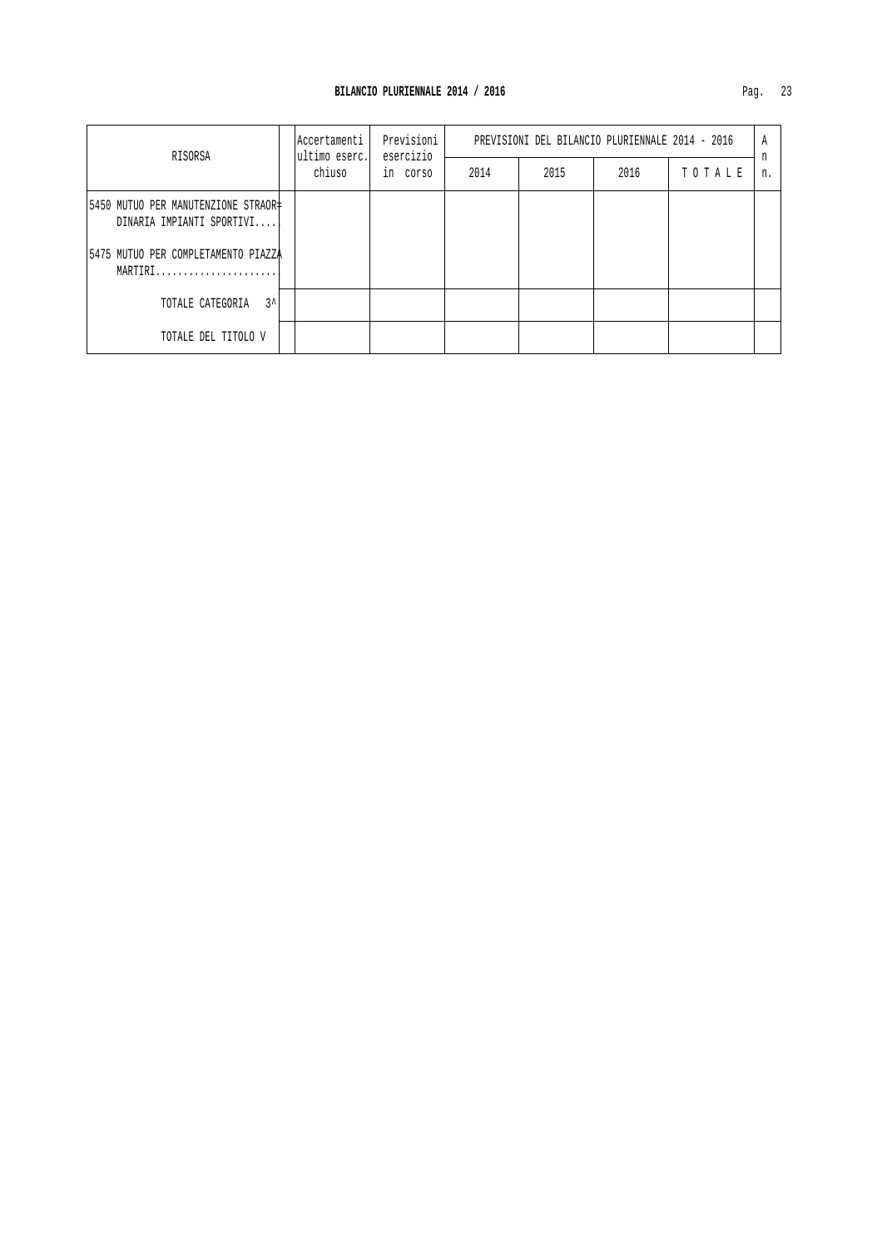| RISORSA                                                          | lAccertamenti<br>ultimo eserc. | Previsioni<br>esercizio<br>in corso | PREVISIONI DEL BILANCIO PLURIENNALE 2014 - 2016 |      |      |        | Α       |
|------------------------------------------------------------------|--------------------------------|-------------------------------------|-------------------------------------------------|------|------|--------|---------|
|                                                                  | chiuso                         |                                     | 2014                                            | 2015 | 2016 | TOTALE | n<br>n. |
| 5450 MUTUO PER MANUTENZIONE STRAOR‡<br>DINARIA IMPIANTI SPORTIVI |                                |                                     |                                                 |      |      |        |         |
| 5475 MUTUO PER COMPLETAMENTO PIAZZA<br>MARTIRI                   |                                |                                     |                                                 |      |      |        |         |
| ?^<br>TOTALE CATEGORIA                                           |                                |                                     |                                                 |      |      |        |         |
| TOTALE DEL TITOLO V                                              |                                |                                     |                                                 |      |      |        |         |